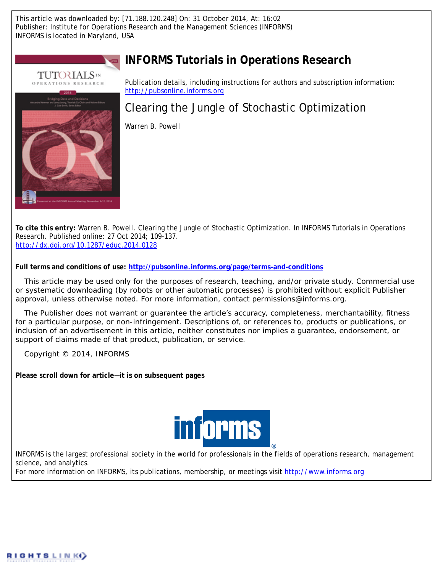This article was downloaded by: [71.188.120.248] On: 31 October 2014, At: 16:02 Publisher: Institute for Operations Research and the Management Sciences (INFORMS) INFORMS is located in Maryland, USA



# **INFORMS Tutorials in Operations Research**

Publication details, including instructions for authors and subscription information: <http://pubsonline.informs.org>

# Clearing the Jungle of Stochastic Optimization

Warren B. Powell

**To cite this entry:** Warren B. Powell. Clearing the Jungle of Stochastic Optimization. *In* INFORMS Tutorials in Operations Research. Published online: 27 Oct 2014; 109-137. <http://dx.doi.org/10.1287/educ.2014.0128>

**Full terms and conditions of use: <http://pubsonline.informs.org/page/terms-and-conditions>**

This article may be used only for the purposes of research, teaching, and/or private study. Commercial use or systematic downloading (by robots or other automatic processes) is prohibited without explicit Publisher approval, unless otherwise noted. For more information, contact permissions@informs.org.

The Publisher does not warrant or guarantee the article's accuracy, completeness, merchantability, fitness for a particular purpose, or non-infringement. Descriptions of, or references to, products or publications, or inclusion of an advertisement in this article, neither constitutes nor implies a guarantee, endorsement, or support of claims made of that product, publication, or service.

Copyright © 2014, INFORMS

**Please scroll down for article—it is on subsequent pages**



INFORMS is the largest professional society in the world for professionals in the fields of operations research, management science, and analytics.

For more information on INFORMS, its publications, membership, or meetings visit <http://www.informs.org>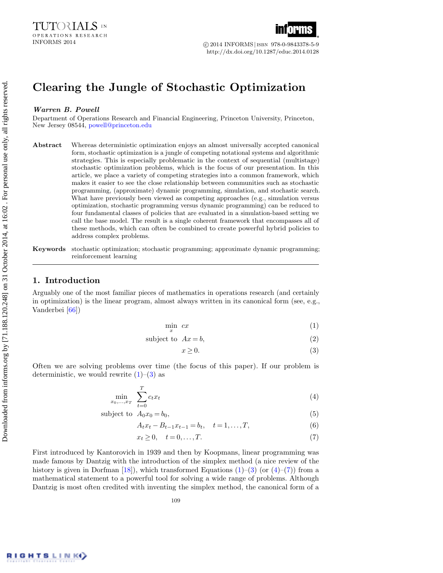

INFORMS 2014 c 2014 INFORMS |isbn 978-0-9843378-5-9 http://dx.doi.org/10.1287/educ.2014.0128

# Clearing the Jungle of Stochastic Optimization

Warren B. Powell

Department of Operations Research and Financial Engineering, Princeton University, Princeton, New Jersey 08544, <powell@princeton.edu>

Abstract Whereas deterministic optimization enjoys an almost universally accepted canonical form, stochastic optimization is a jungle of competing notational systems and algorithmic strategies. This is especially problematic in the context of sequential (multistage) stochastic optimization problems, which is the focus of our presentation. In this article, we place a variety of competing strategies into a common framework, which makes it easier to see the close relationship between communities such as stochastic programming, (approximate) dynamic programming, simulation, and stochastic search. What have previously been viewed as competing approaches (e.g., simulation versus optimization, stochastic programming versus dynamic programming) can be reduced to four fundamental classes of policies that are evaluated in a simulation-based setting we call the base model. The result is a single coherent framework that encompasses all of these methods, which can often be combined to create powerful hybrid policies to address complex problems.

Keywords stochastic optimization; stochastic programming; approximate dynamic programming; reinforcement learning

#### 1. Introduction

Arguably one of the most familiar pieces of mathematics in operations research (and certainly in optimization) is the linear program, almost always written in its canonical form (see, e.g., Vanderbei [\[66\]](#page-29-0))

<span id="page-1-0"></span>
$$
\min_{x} cx \tag{1}
$$

$$
subject to \tAx = b,
$$
\t(2)

$$
x \ge 0. \tag{3}
$$

Often we are solving problems over time (the focus of this paper). If our problem is deterministic, we would rewrite  $(1)$ – $(3)$  as

<span id="page-1-1"></span>
$$
\min_{x_0, \dots, x_T} \sum_{t=0}^T c_t x_t \tag{4}
$$

subject to  $A_0x_0 = b_0$ , (5)

$$
A_t x_t - B_{t-1} x_{t-1} = b_t, \quad t = 1, \dots, T,
$$
\n<sup>(6)</sup>

$$
x_t \ge 0, \quad t = 0, \dots, T. \tag{7}
$$

First introduced by Kantorovich in 1939 and then by Koopmans, linear programming was made famous by Dantzig with the introduction of the simplex method (a nice review of the history is given in Dorfman [\[18\]](#page-27-0)), which transformed Equations  $(1)-(3)$  $(1)-(3)$  $(1)-(3)$  (or  $(4)-(7)$  $(4)-(7)$  $(4)-(7)$ ) from a mathematical statement to a powerful tool for solving a wide range of problems. Although Dantzig is most often credited with inventing the simplex method, the canonical form of a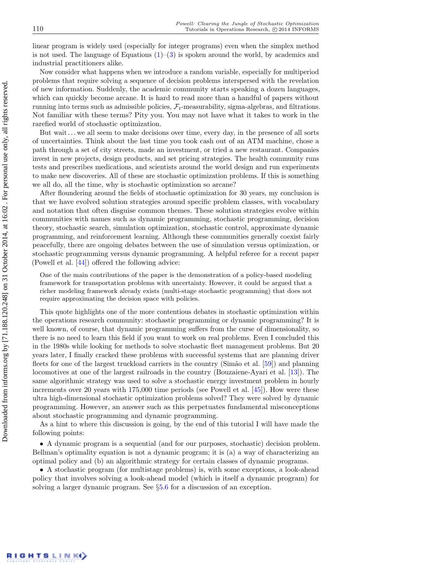linear program is widely used (especially for integer programs) even when the simplex method is not used. The language of Equations  $(1)$ – $(3)$  is spoken around the world, by academics and industrial practitioners alike.

Now consider what happens when we introduce a random variable, especially for multiperiod problems that require solving a sequence of decision problems interspersed with the revelation of new information. Suddenly, the academic community starts speaking a dozen languages, which can quickly become arcane. It is hard to read more than a handful of papers without running into terms such as admissible policies,  $\mathcal{F}_t$ -measurability, sigma-algebras, and filtrations. Not familiar with these terms? Pity you. You may not have what it takes to work in the rarefied world of stochastic optimization.

But wait...we all seem to make decisions over time, every day, in the presence of all sorts of uncertainties. Think about the last time you took cash out of an ATM machine, chose a path through a set of city streets, made an investment, or tried a new restaurant. Companies invest in new projects, design products, and set pricing strategies. The health community runs tests and prescribes medications, and scientists around the world design and run experiments to make new discoveries. All of these are stochastic optimization problems. If this is something we all do, all the time, why is stochastic optimization so arcane?

After floundering around the fields of stochastic optimization for 30 years, my conclusion is that we have evolved solution strategies around specific problem classes, with vocabulary and notation that often disguise common themes. These solution strategies evolve within communities with names such as dynamic programming, stochastic programming, decision theory, stochastic search, simulation optimization, stochastic control, approximate dynamic programming, and reinforcement learning. Although these communities generally coexist fairly peacefully, there are ongoing debates between the use of simulation versus optimization, or stochastic programming versus dynamic programming. A helpful referee for a recent paper (Powell et al. [\[44\]](#page-28-0)) offered the following advice:

One of the main contributions of the paper is the demonstration of a policy-based modeling framework for transportation problems with uncertainty. However, it could be argued that a richer modeling framework already exists (multi-stage stochastic programming) that does not require approximating the decision space with policies.

This quote highlights one of the more contentious debates in stochastic optimization within the operations research community: stochastic programming or dynamic programming? It is well known, of course, that dynamic programming suffers from the curse of dimensionality, so there is no need to learn this field if you want to work on real problems. Even I concluded this in the 1980s while looking for methods to solve stochastic fleet management problems. But 20 years later, I finally cracked these problems with successful systems that are planning driver fleets for one of the largest truckload carriers in the country (Simão et al. [\[59\]](#page-29-1)) and planning locomotives at one of the largest railroads in the country (Bouzaiene-Ayari et al. [\[13\]](#page-27-1)). The same algorithmic strategy was used to solve a stochastic energy investment problem in hourly increments over 20 years with 175,000 time periods (see Powell et al. [\[45\]](#page-28-1)). How were these ultra high-dimensional stochastic optimization problems solved? They were solved by dynamic programming. However, an answer such as this perpetuates fundamental misconceptions about stochastic programming and dynamic programming.

As a hint to where this discussion is going, by the end of this tutorial I will have made the following points:

• A dynamic program is a sequential (and for our purposes, stochastic) decision problem. Bellman's optimality equation is not a dynamic program; it is (a) a way of characterizing an optimal policy and (b) an algorithmic strategy for certain classes of dynamic programs.

• A stochastic program (for multistage problems) is, with some exceptions, a look-ahead policy that involves solving a look-ahead model (which is itself a dynamic program) for solving a larger dynamic program. See §[5.6](#page-20-0) for a discussion of an exception.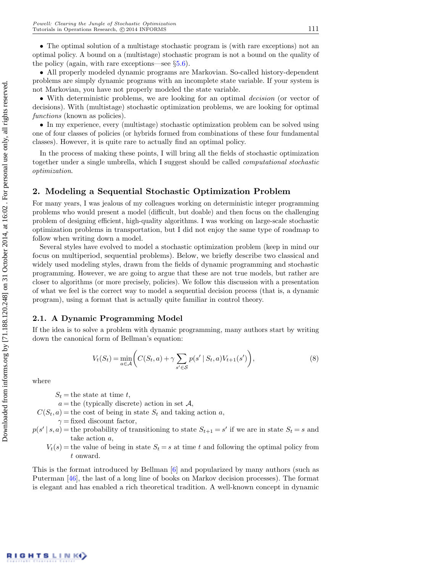• The optimal solution of a multistage stochastic program is (with rare exceptions) not an optimal policy. A bound on a (multistage) stochastic program is not a bound on the quality of the policy (again, with rare exceptions—see  $\S 5.6$ ).

• All properly modeled dynamic programs are Markovian. So-called history-dependent problems are simply dynamic programs with an incomplete state variable. If your system is not Markovian, you have not properly modeled the state variable.

• With deterministic problems, we are looking for an optimal *decision* (or vector of decisions). With (multistage) stochastic optimization problems, we are looking for optimal functions (known as policies).

• In my experience, every (multistage) stochastic optimization problem can be solved using one of four classes of policies (or hybrids formed from combinations of these four fundamental classes). However, it is quite rare to actually find an optimal policy.

In the process of making these points, I will bring all the fields of stochastic optimization together under a single umbrella, which I suggest should be called computational stochastic optimization.

# 2. Modeling a Sequential Stochastic Optimization Problem

For many years, I was jealous of my colleagues working on deterministic integer programming problems who would present a model (difficult, but doable) and then focus on the challenging problem of designing efficient, high-quality algorithms. I was working on large-scale stochastic optimization problems in transportation, but I did not enjoy the same type of roadmap to follow when writing down a model.

Several styles have evolved to model a stochastic optimization problem (keep in mind our focus on multiperiod, sequential problems). Below, we briefly describe two classical and widely used modeling styles, drawn from the fields of dynamic programming and stochastic programming. However, we are going to argue that these are not true models, but rather are closer to algorithms (or more precisely, policies). We follow this discussion with a presentation of what we feel is the correct way to model a sequential decision process (that is, a dynamic program), using a format that is actually quite familiar in control theory.

#### 2.1. A Dynamic Programming Model

If the idea is to solve a problem with dynamic programming, many authors start by writing down the canonical form of Bellman's equation:

<span id="page-3-0"></span>
$$
V_t(S_t) = \min_{a \in \mathcal{A}} \bigg( C(S_t, a) + \gamma \sum_{s' \in \mathcal{S}} p(s' \mid S_t, a) V_{t+1}(s') \bigg),\tag{8}
$$

where

 $S_t$  = the state at time t,

 $a =$  the (typically discrete) action in set A,

- $C(S_t, a)$  = the cost of being in state  $S_t$  and taking action a,
	- $\gamma$  = fixed discount factor,
- $p(s' | s, a)$  = the probability of transitioning to state  $S_{t+1} = s'$  if we are in state  $S_t = s$  and take action a,
	- $V_t(s)$  = the value of being in state  $S_t = s$  at time t and following the optimal policy from t onward.

This is the format introduced by Bellman [\[6\]](#page-26-0) and popularized by many authors (such as Puterman [\[46\]](#page-28-2), the last of a long line of books on Markov decision processes). The format is elegant and has enabled a rich theoretical tradition. A well-known concept in dynamic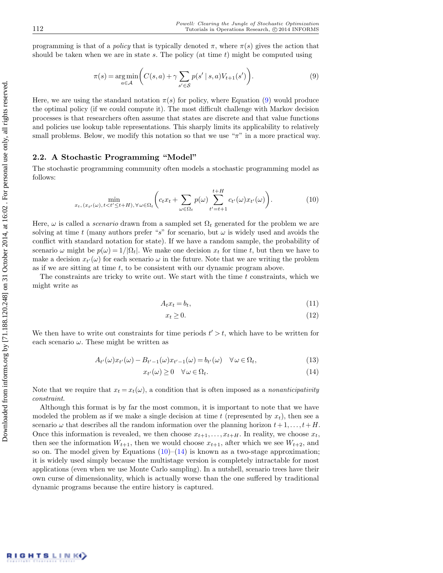programming is that of a *policy* that is typically denoted  $\pi$ , where  $\pi(s)$  gives the action that should be taken when we are in state s. The policy (at time  $t$ ) might be computed using

<span id="page-4-0"></span>
$$
\pi(s) = \underset{a \in \mathcal{A}}{\arg \min} \bigg( C(s, a) + \gamma \sum_{s' \in \mathcal{S}} p(s' \mid s, a) V_{t+1}(s') \bigg). \tag{9}
$$

Here, we are using the standard notation  $\pi(s)$  for policy, where Equation [\(9\)](#page-4-0) would produce the optimal policy (if we could compute it). The most difficult challenge with Markov decision processes is that researchers often assume that states are discrete and that value functions and policies use lookup table representations. This sharply limits its applicability to relatively small problems. Below, we modify this notation so that we use  $\pi$ " in a more practical way.

#### 2.2. A Stochastic Programming "Model"

The stochastic programming community often models a stochastic programming model as follows:

<span id="page-4-1"></span>
$$
\min_{x_t, (x_{t'}(\omega), t < t' \le t + H), \forall \omega \in \Omega_t} \left( c_t x_t + \sum_{\omega \in \Omega_t} p(\omega) \sum_{t'=t+1}^{t+H} c_{t'}(\omega) x_{t'}(\omega) \right). \tag{10}
$$

Here,  $\omega$  is called a *scenario* drawn from a sampled set  $\Omega_t$  generated for the problem we are solving at time t (many authors prefer "s" for scenario, but  $\omega$  is widely used and avoids the conflict with standard notation for state). If we have a random sample, the probability of scenario  $\omega$  might be  $p(\omega) = 1/|\Omega_t|$ . We make one decision  $x_t$  for time t, but then we have to make a decision  $x_{t'}(\omega)$  for each scenario  $\omega$  in the future. Note that we are writing the problem as if we are sitting at time  $t$ , to be consistent with our dynamic program above.

The constraints are tricky to write out. We start with the time  $t$  constraints, which we might write as

$$
A_t x_t = b_t,\tag{11}
$$

<span id="page-4-2"></span>
$$
x_t \ge 0. \tag{12}
$$

We then have to write out constraints for time periods  $t' > t$ , which have to be written for each scenario  $\omega$ . These might be written as

$$
A_{t'}(\omega)x_{t'}(\omega) - B_{t'-1}(\omega)x_{t'-1}(\omega) = b_{t'}(\omega) \quad \forall \omega \in \Omega_t,
$$
\n(13)

$$
x_{t'}(\omega) \ge 0 \quad \forall \,\omega \in \Omega_t. \tag{14}
$$

Note that we require that  $x_t = x_t(\omega)$ , a condition that is often imposed as a *nonanticipativity* constraint.

Although this format is by far the most common, it is important to note that we have modeled the problem as if we make a single decision at time t (represented by  $x_t$ ), then see a scenario  $\omega$  that describes all the random information over the planning horizon  $t + 1, \ldots, t + H$ . Once this information is revealed, we then choose  $x_{t+1}, \ldots, x_{t+H}$ . In reality, we choose  $x_t$ , then see the information  $W_{t+1}$ , then we would choose  $x_{t+1}$ , after which we see  $W_{t+2}$ , and so on. The model given by Equations  $(10)$ – $(14)$  is known as a two-stage approximation; it is widely used simply because the multistage version is completely intractable for most applications (even when we use Monte Carlo sampling). In a nutshell, scenario trees have their own curse of dimensionality, which is actually worse than the one suffered by traditional dynamic programs because the entire history is captured.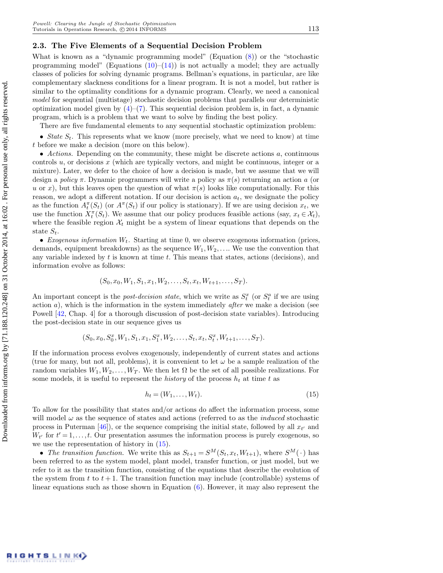#### 2.3. The Five Elements of a Sequential Decision Problem

What is known as a "dynamic programming model" (Equation [\(8\)](#page-3-0)) or the "stochastic programming model" (Equations  $(10)$ – $(14)$ ) is not actually a model; they are actually classes of policies for solving dynamic programs. Bellman's equations, in particular, are like complementary slackness conditions for a linear program. It is not a model, but rather is similar to the optimality conditions for a dynamic program. Clearly, we need a canonical model for sequential (multistage) stochastic decision problems that parallels our deterministic optimization model given by  $(4)-(7)$  $(4)-(7)$  $(4)-(7)$ . This sequential decision problem is, in fact, a dynamic program, which is a problem that we want to solve by finding the best policy.

There are five fundamental elements to any sequential stochastic optimization problem:

• State  $S_t$ . This represents what we know (more precisely, what we need to know) at time t before we make a decision (more on this below).

• Actions. Depending on the community, these might be discrete actions  $a$ , continuous controls  $u$ , or decisions  $x$  (which are typically vectors, and might be continuous, integer or a mixture). Later, we defer to the choice of how a decision is made, but we assume that we will design a policy  $\pi$ . Dynamic programmers will write a policy as  $\pi(s)$  returning an action a (or u or x), but this leaves open the question of what  $\pi(s)$  looks like computationally. For this reason, we adopt a different notation. If our decision is action  $a_t$ , we designate the policy as the function  $A_t^{\pi}(S_t)$  (or  $A^{\pi}(S_t)$ ) if our policy is stationary). If we are using decision  $x_t$ , we use the function  $X_t^{\pi}(S_t)$ . We assume that our policy produces feasible actions (say,  $x_t \in \mathcal{X}_t$ ), where the feasible region  $\mathcal{X}_t$  might be a system of linear equations that depends on the state  $S_t$ .

• Exogenous information  $W_t$ . Starting at time 0, we observe exogenous information (prices, demands, equipment breakdowns) as the sequence  $W_1, W_2, \ldots$ . We use the convention that any variable indexed by  $t$  is known at time  $t$ . This means that states, actions (decisions), and information evolve as follows:

$$
(S_0, x_0, W_1, S_1, x_1, W_2, \ldots, S_t, x_t, W_{t+1}, \ldots, S_T).
$$

An important concept is the *post-decision state*, which we write as  $S_t^x$  (or  $S_t^a$  if we are using action  $a$ ), which is the information in the system immediately *after* we make a decision (see Powell [\[42,](#page-28-3) Chap. 4] for a thorough discussion of post-decision state variables). Introducing the post-decision state in our sequence gives us

$$
(S_0, x_0, S_0^x, W_1, S_1, x_1, S_1^x, W_2, \ldots, S_t, x_t, S_t^x, W_{t+1}, \ldots, S_T).
$$

If the information process evolves exogenously, independently of current states and actions (true for many, but not all, problems), it is convenient to let  $\omega$  be a sample realization of the random variables  $W_1, W_2, \ldots, W_T$ . We then let  $\Omega$  be the set of all possible realizations. For some models, it is useful to represent the *history* of the process  $h_t$  at time t as

<span id="page-5-0"></span>
$$
h_t = (W_1, \dots, W_t). \tag{15}
$$

To allow for the possibility that states and/or actions do affect the information process, some will model  $\omega$  as the sequence of states and actions (referred to as the *induced* stochastic process in Puterman [\[46\]](#page-28-2)), or the sequence comprising the initial state, followed by all  $x_{t'}$  and  $W_{t'}$  for  $t' = 1, \ldots, t$ . Our presentation assumes the information process is purely exogenous, so we use the representation of history in [\(15\)](#page-5-0).

• The transition function. We write this as  $S_{t+1} = S^M(S_t, x_t, W_{t+1}),$  where  $S^M(\cdot)$  has been referred to as the system model, plant model, transfer function, or just model, but we refer to it as the transition function, consisting of the equations that describe the evolution of the system from t to  $t + 1$ . The transition function may include (controllable) systems of linear equations such as those shown in Equation [\(6\)](#page-1-1). However, it may also represent the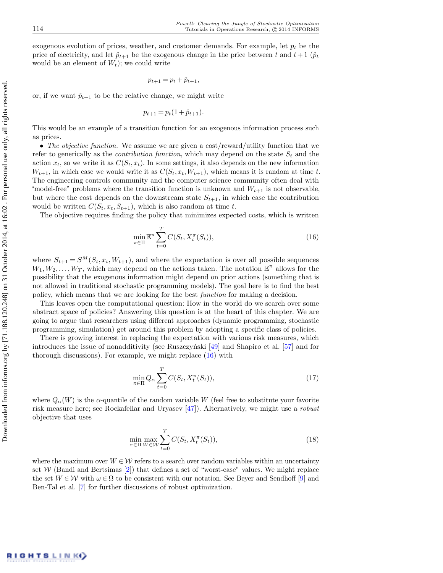exogenous evolution of prices, weather, and customer demands. For example, let  $p_t$  be the price of electricity, and let  $\hat{p}_{t+1}$  be the exogenous change in the price between t and  $t + 1$  ( $\hat{p}_t$ ) would be an element of  $W_t$ ; we could write

$$
p_{t+1} = p_t + \hat{p}_{t+1},
$$

or, if we want  $\hat{p}_{t+1}$  to be the relative change, we might write

$$
p_{t+1} = p_t (1 + \hat{p}_{t+1}).
$$

This would be an example of a transition function for an exogenous information process such as prices.

• The objective function. We assume we are given a cost/reward/utility function that we refer to generically as the *contribution function*, which may depend on the state  $S_t$  and the action  $x_t$ , so we write it as  $C(S_t, x_t)$ . In some settings, it also depends on the new information  $W_{t+1}$ , in which case we would write it as  $C(S_t, x_t, W_{t+1})$ , which means it is random at time t. The engineering controls community and the computer science community often deal with "model-free" problems where the transition function is unknown and  $W_{t+1}$  is not observable, but where the cost depends on the downstream state  $S_{t+1}$ , in which case the contribution would be written  $C(S_t, x_t, S_{t+1})$ , which is also random at time t.

The objective requires finding the policy that minimizes expected costs, which is written

<span id="page-6-0"></span>
$$
\min_{\pi \in \Pi} \mathbb{E}^{\pi} \sum_{t=0}^{T} C(S_t, X_t^{\pi}(S_t)),\tag{16}
$$

where  $S_{t+1} = S^M(S_t, x_t, W_{t+1})$ , and where the expectation is over all possible sequences  $W_1, W_2, \ldots, W_T$ , which may depend on the actions taken. The notation  $\mathbb{E}^{\pi}$  allows for the possibility that the exogenous information might depend on prior actions (something that is not allowed in traditional stochastic programming models). The goal here is to find the best policy, which means that we are looking for the best function for making a decision.

This leaves open the computational question: How in the world do we search over some abstract space of policies? Answering this question is at the heart of this chapter. We are going to argue that researchers using different approaches (dynamic programming, stochastic programming, simulation) get around this problem by adopting a specific class of policies.

There is growing interest in replacing the expectation with various risk measures, which introduces the issue of nonadditivity (see Ruszczyński  $[49]$  and Shapiro et al. [\[57\]](#page-28-5) and for thorough discussions). For example, we might replace [\(16\)](#page-6-0) with

<span id="page-6-1"></span>
$$
\min_{\pi \in \Pi} Q_{\alpha} \sum_{t=0}^{T} C(S_t, X_t^{\pi}(S_t)),\tag{17}
$$

where  $Q_{\alpha}(W)$  is the  $\alpha$ -quantile of the random variable W (feel free to substitute your favorite risk measure here; see Rockafellar and Uryasev [\[47\]](#page-28-6)). Alternatively, we might use a robust objective that uses

<span id="page-6-2"></span>
$$
\min_{\pi \in \Pi} \max_{W \in \mathcal{W}} \sum_{t=0}^{T} C(S_t, X_t^{\pi}(S_t)),
$$
\n(18)

where the maximum over  $W \in \mathcal{W}$  refers to a search over random variables within an uncertainty set  $W$  (Bandi and Bertsimas [\[2\]](#page-26-1)) that defines a set of "worst-case" values. We might replace the set  $W \in \mathcal{W}$  with  $\omega \in \Omega$  to be consistent with our notation. See Beyer and Sendhoff [\[9\]](#page-26-2) and Ben-Tal et al. [\[7\]](#page-26-3) for further discussions of robust optimization.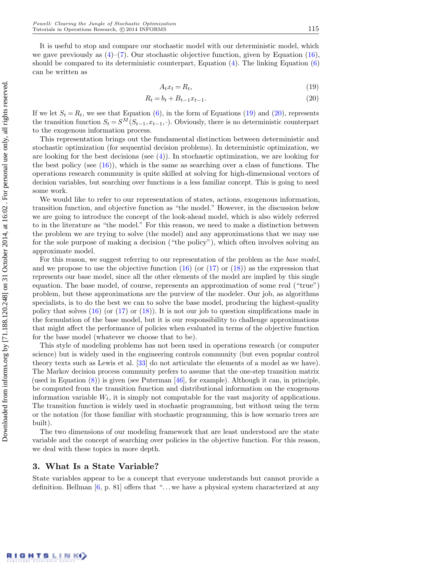It is useful to stop and compare our stochastic model with our deterministic model, which we gave previously as  $(4)-(7)$  $(4)-(7)$  $(4)-(7)$ . Our stochastic objective function, given by Equation [\(16\)](#page-6-0), should be compared to its deterministic counterpart, Equation  $(4)$ . The linking Equation  $(6)$ can be written as

<span id="page-7-1"></span><span id="page-7-0"></span>
$$
A_t x_t = R_t,\tag{19}
$$

$$
R_t = b_t + B_{t-1} x_{t-1}.
$$
\n(20)

If we let  $S_t = R_t$ , we see that Equation [\(6\)](#page-1-1), in the form of Equations [\(19\)](#page-7-0) and [\(20\)](#page-7-1), represents the transition function  $S_t = S^M(S_{t-1}, x_{t-1}, \cdot)$ . Obviously, there is no deterministic counterpart to the exogenous information process.

This representation brings out the fundamental distinction between deterministic and stochastic optimization (for sequential decision problems). In deterministic optimization, we are looking for the best decisions (see [\(4\)](#page-1-1)). In stochastic optimization, we are looking for the best policy (see  $(16)$ ), which is the same as searching over a class of functions. The operations research community is quite skilled at solving for high-dimensional vectors of decision variables, but searching over functions is a less familiar concept. This is going to need some work.

We would like to refer to our representation of states, actions, exogenous information, transition function, and objective function as "the model." However, in the discussion below we are going to introduce the concept of the look-ahead model, which is also widely referred to in the literature as "the model." For this reason, we need to make a distinction between the problem we are trying to solve (the model) and any approximations that we may use for the sole purpose of making a decision ("the policy"), which often involves solving an approximate model.

For this reason, we suggest referring to our representation of the problem as the base model, and we propose to use the objective function  $(16)$  (or  $(17)$  or  $(18)$ ) as the expression that represents our base model, since all the other elements of the model are implied by this single equation. The base model, of course, represents an approximation of some real ("true") problem, but these approximations are the purview of the modeler. Our job, as algorithms specialists, is to do the best we can to solve the base model, producing the highest-quality policy that solves [\(16\)](#page-6-0) (or [\(17\)](#page-6-1) or [\(18\)](#page-6-2)). It is not our job to question simplifications made in the formulation of the base model, but it is our responsibility to challenge approximations that might affect the performance of policies when evaluated in terms of the objective function for the base model (whatever we choose that to be).

This style of modeling problems has not been used in operations research (or computer science) but is widely used in the engineering controls community (but even popular control theory texts such as Lewis et al. [\[33\]](#page-27-2) do not articulate the elements of a model as we have). The Markov decision process community prefers to assume that the one-step transition matrix (used in Equation  $(8)$ ) is given (see Puterman [\[46\]](#page-28-2), for example). Although it can, in principle, be computed from the transition function and distributional information on the exogenous information variable  $W_t$ , it is simply not computable for the vast majority of applications. The transition function is widely used in stochastic programming, but without using the term or the notation (for those familiar with stochastic programming, this is how scenario trees are built).

The two dimensions of our modeling framework that are least understood are the state variable and the concept of searching over policies in the objective function. For this reason, we deal with these topics in more depth.

#### 3. What Is a State Variable?

State variables appear to be a concept that everyone understands but cannot provide a definition. Bellman  $[6, p. 81]$  $[6, p. 81]$  offers that "... we have a physical system characterized at any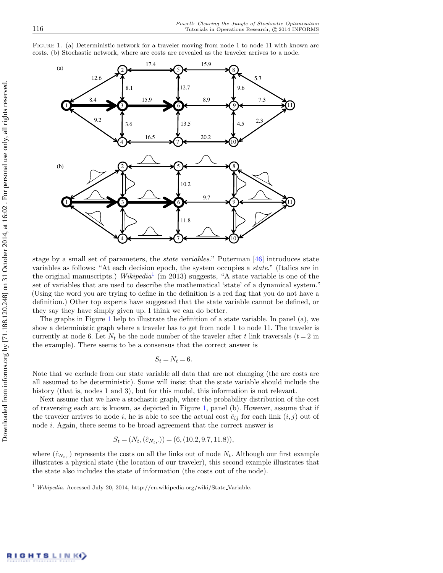<span id="page-8-1"></span>

FIGURE 1. (a) Deterministic network for a traveler moving from node 1 to node 11 with known arc costs. (b) Stochastic network, where arc costs are revealed as the traveler arrives to a node.

stage by a small set of parameters, the state variables." Puterman [\[46\]](#page-28-2) introduces state variables as follows: "At each decision epoch, the system occupies a state." (Italics are in the original manuscripts.) Wikipedia<sup>[1](#page-8-0)</sup> (in 2013) suggests, "A state variable is one of the set of variables that are used to describe the mathematical 'state' of a dynamical system." (Using the word you are trying to define in the definition is a red flag that you do not have a definition.) Other top experts have suggested that the state variable cannot be defined, or they say they have simply given up. I think we can do better.

The graphs in Figure [1](#page-8-1) help to illustrate the definition of a state variable. In panel (a), we show a deterministic graph where a traveler has to get from node 1 to node 11. The traveler is currently at node 6. Let  $N_t$  be the node number of the traveler after t link traversals  $(t = 2$  in the example). There seems to be a consensus that the correct answer is

$$
S_t = N_t = 6.
$$

Note that we exclude from our state variable all data that are not changing (the arc costs are all assumed to be deterministic). Some will insist that the state variable should include the history (that is, nodes 1 and 3), but for this model, this information is not relevant.

Next assume that we have a stochastic graph, where the probability distribution of the cost of traversing each arc is known, as depicted in Figure [1,](#page-8-1) panel (b). However, assume that if the traveler arrives to node i, he is able to see the actual cost  $\hat{c}_{ij}$  for each link  $(i, j)$  out of node i. Again, there seems to be broad agreement that the correct answer is

$$
S_t = (N_t, (\hat{c}_{N_t, .})) = (6, (10.2, 9.7, 11.8)),
$$

where  $(\hat{c}_{N_t,\cdot})$  represents the costs on all the links out of node  $N_t$ . Although our first example illustrates a physical state (the location of our traveler), this second example illustrates that the state also includes the state of information (the costs out of the node).

<span id="page-8-0"></span><sup>&</sup>lt;sup>1</sup> Wikipedia. Accessed July 20, 2014, http://en.wikipedia.org/wiki/State\_Variable.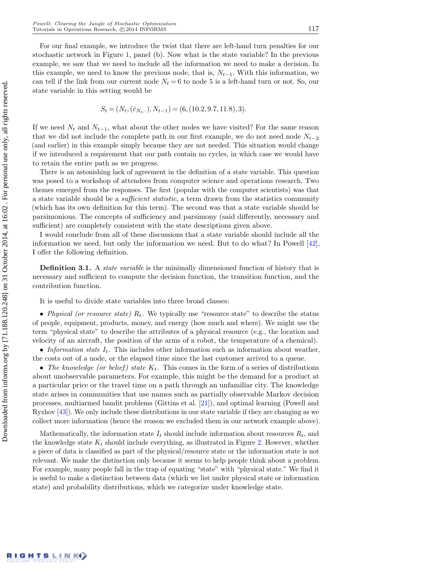For our final example, we introduce the twist that there are left-hand turn penalties for our stochastic network in Figure [1,](#page-8-1) panel (b). Now what is the state variable? In the previous example, we saw that we need to include all the information we need to make a decision. In this example, we need to know the previous node, that is,  $N_{t-1}$ . With this information, we can tell if the link from our current node  $N_t = 6$  to node 5 is a left-hand turn or not. So, our state variable in this setting would be

$$
S_t = (N_t, (\hat{c}_{N_t, \cdot}), N_{t-1}) = (6, (10.2, 9.7, 11.8), 3).
$$

If we need  $N_t$  and  $N_{t-1}$ , what about the other nodes we have visited? For the same reason that we did not include the complete path in our first example, we do not need node  $N_{t-2}$ (and earlier) in this example simply because they are not needed. This situation would change if we introduced a requirement that our path contain no cycles, in which case we would have to retain the entire path as we progress.

There is an astonishing lack of agreement in the definition of a state variable. This question was posed to a workshop of attendees from computer science and operations research. Two themes emerged from the responses. The first (popular with the computer scientists) was that a state variable should be a *sufficient statistic*, a term drawn from the statistics community (which has its own definition for this term). The second was that a state variable should be parsimonious. The concepts of sufficiency and parsimony (said differently, necessary and sufficient) are completely consistent with the state descriptions given above.

I would conclude from all of these discussions that a state variable should include all the information we need, but only the information we need. But to do what? In Powell [\[42\]](#page-28-3), I offer the following definition.

**Definition 3.1.** A *state variable* is the minimally dimensioned function of history that is necessary and sufficient to compute the decision function, the transition function, and the contribution function.

It is useful to divide state variables into three broad classes:

• Physical (or resource state)  $R_t$ . We typically use "resource state" to describe the status of people, equipment, products, money, and energy (how much and where). We might use the term "physical state" to describe the attributes of a physical resource (e.g., the location and velocity of an aircraft, the position of the arms of a robot, the temperature of a chemical).

• Information state  $I_t$ . This includes other information such as information about weather, the costs out of a node, or the elapsed time since the last customer arrived to a queue.

• The knowledge (or belief) state  $K_t$ . This comes in the form of a series of distributions about unobservable parameters. For example, this might be the demand for a product at a particular price or the travel time on a path through an unfamiliar city. The knowledge state arises in communities that use names such as partially observable Markov decision processes, multiarmed bandit problems (Gittins et al. [\[21\]](#page-27-3)), and optimal learning (Powell and Ryzhov [\[43\]](#page-28-7)). We only include these distributions in our state variable if they are changing as we collect more information (hence the reason we excluded them in our network example above).

Mathematically, the information state  $I_t$  should include information about resources  $R_t$ , and the knowledge state  $K_t$  should include everything, as illustrated in Figure [2.](#page-10-0) However, whether a piece of data is classified as part of the physical/resource state or the information state is not relevant. We make the distinction only because it seems to help people think about a problem. For example, many people fall in the trap of equating "state" with "physical state." We find it is useful to make a distinction between data (which we list under physical state or information state) and probability distributions, which we categorize under knowledge state.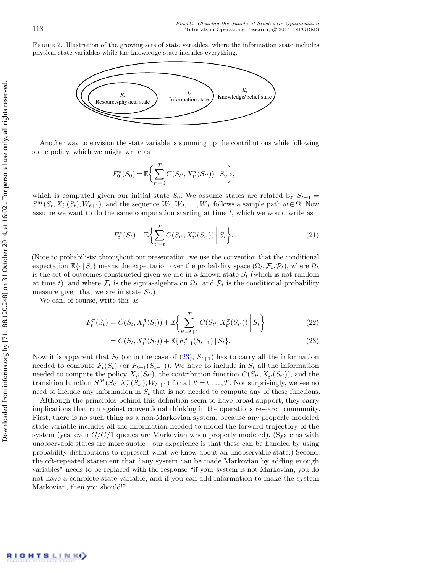Figure 2. Illustration of the growing sets of state variables, where the information state includes physical state variables while the knowledge state includes everything.

<span id="page-10-0"></span>

Another way to envision the state variable is summing up the contributions while following some policy, which we might write as

$$
F_0^{\pi}(S_0) = \mathbb{E}\bigg\{\sum_{t'=0}^T C(S_{t'}, X_{t'}^{\pi}(S_{t'})) \mid S_0\bigg\},\,
$$

which is computed given our initial state  $S_0$ . We assume states are related by  $S_{t+1}$  =  $S^M(S_t, X_t^{\pi}(S_t), W_{t+1}),$  and the sequence  $W_1, W_2, \ldots, W_T$  follows a sample path  $\omega \in \Omega$ . Now assume we want to do the same computation starting at time  $t$ , which we would write as

$$
F_t^{\pi}(S_t) = \mathbb{E}\left\{\sum_{t'=t}^T C(S_{t'}, X_{t'}^{\pi}(S_{t'})) \, \middle| \, S_t\right\}.
$$
 (21)

(Note to probabilists: throughout our presentation, we use the convention that the conditional expectation  $\mathbb{E}\{\cdot | S_t\}$  means the expectation over the probability space  $(\Omega_t, \mathcal{F}_t, \mathcal{P}_t)$ , where  $\Omega_t$ is the set of outcomes constructed given we are in a known state  $S_t$  (which is not random at time t), and where  $\mathcal{F}_t$  is the sigma-algebra on  $\Omega_t$ , and  $\mathcal{P}_t$  is the conditional probability measure given that we are in state  $S_t$ .)

We can, of course, write this as

<span id="page-10-1"></span>
$$
F_t^{\pi}(S_t) = C(S_t, X_t^{\pi}(S_t)) + \mathbb{E}\left\{\sum_{t'=t+1}^T C(S_{t'}, X_{t'}^{\pi}(S_{t'})) \, \middle| \, S_t\right\} \tag{22}
$$

$$
= C(S_t, X_t^{\pi}(S_t)) + \mathbb{E}\{F_{t+1}^{\pi}(S_{t+1}) \,|\, S_t\}.
$$
\n<sup>(23)</sup>

Now it is apparent that  $S_t$  (or in the case of [\(23\)](#page-10-1),  $S_{t+1}$ ) has to carry all the information needed to compute  $F_t(S_t)$  (or  $F_{t+1}(S_{t+1})$ ). We have to include in  $S_t$  all the information needed to compute the policy  $X_t^{\pi}(S_{t'})$ , the contribution function  $C(S_{t'}, X_{t'}^{\pi}(S_{t'}))$ , and the transition function  $S^M(S_{t'}, X_{t'}^{\pi}(S_{t'}), W_{t'+1})$  for all  $t' = t, \ldots, T$ . Not surprisingly, we see no need to include any information in  $S_t$  that is not needed to compute any of these functions.

Although the principles behind this definition seem to have broad support, they carry implications that run against conventional thinking in the operations research community. First, there is no such thing as a non-Markovian system, because any properly modeled state variable includes all the information needed to model the forward trajectory of the system (yes, even  $G/G/1$  queues are Markovian when properly modeled). (Systems with unobservable states are more subtle—our experience is that these can be handled by using probability distributions to represent what we know about an unobservable state.) Second, the oft-repeated statement that "any system can be made Markovian by adding enough variables" needs to be replaced with the response "if your system is not Markovian, you do not have a complete state variable, and if you can add information to make the system Markovian, then you should!"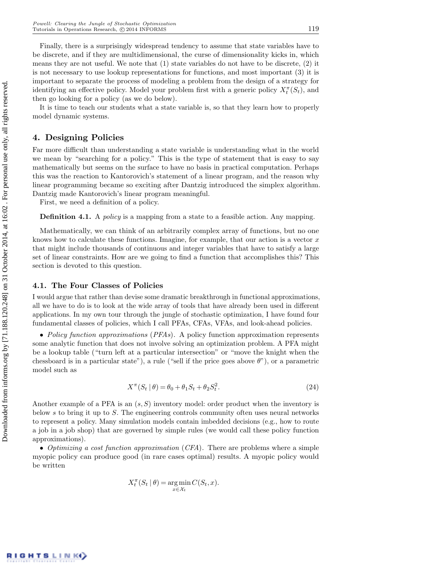Finally, there is a surprisingly widespread tendency to assume that state variables have to be discrete, and if they are multidimensional, the curse of dimensionality kicks in, which means they are not useful. We note that (1) state variables do not have to be discrete, (2) it is not necessary to use lookup representations for functions, and most important (3) it is important to separate the process of modeling a problem from the design of a strategy for identifying an effective policy. Model your problem first with a generic policy  $X_t^{\pi}(S_t)$ , and then go looking for a policy (as we do below).

It is time to teach our students what a state variable is, so that they learn how to properly model dynamic systems.

# 4. Designing Policies

Far more difficult than understanding a state variable is understanding what in the world we mean by "searching for a policy." This is the type of statement that is easy to say mathematically but seems on the surface to have no basis in practical computation. Perhaps this was the reaction to Kantorovich's statement of a linear program, and the reason why linear programming became so exciting after Dantzig introduced the simplex algorithm. Dantzig made Kantorovich's linear program meaningful.

First, we need a definition of a policy.

**Definition 4.1.** A *policy* is a mapping from a state to a feasible action. Any mapping.

Mathematically, we can think of an arbitrarily complex array of functions, but no one knows how to calculate these functions. Imagine, for example, that our action is a vector  $x$ that might include thousands of continuous and integer variables that have to satisfy a large set of linear constraints. How are we going to find a function that accomplishes this? This section is devoted to this question.

#### 4.1. The Four Classes of Policies

I would argue that rather than devise some dramatic breakthrough in functional approximations, all we have to do is to look at the wide array of tools that have already been used in different applications. In my own tour through the jungle of stochastic optimization, I have found four fundamental classes of policies, which I call PFAs, CFAs, VFAs, and look-ahead policies.

• Policy function approximations (PFAs). A policy function approximation represents some analytic function that does not involve solving an optimization problem. A PFA might be a lookup table ("turn left at a particular intersection" or "move the knight when the chessboard is in a particular state"), a rule ("sell if the price goes above  $\theta$ "), or a parametric model such as

$$
X^{\pi}(S_t | \theta) = \theta_0 + \theta_1 S_t + \theta_2 S_t^2. \tag{24}
$$

Another example of a PFA is an  $(s, S)$  inventory model: order product when the inventory is below s to bring it up to S. The engineering controls community often uses neural networks to represent a policy. Many simulation models contain imbedded decisions (e.g., how to route a job in a job shop) that are governed by simple rules (we would call these policy function approximations).

• Optimizing a cost function approximation  $(CFA)$ . There are problems where a simple myopic policy can produce good (in rare cases optimal) results. A myopic policy would be written

$$
X_t^{\pi}(S_t | \theta) = \underset{x \in \mathcal{X}_t}{\arg \min} C(S_t, x).
$$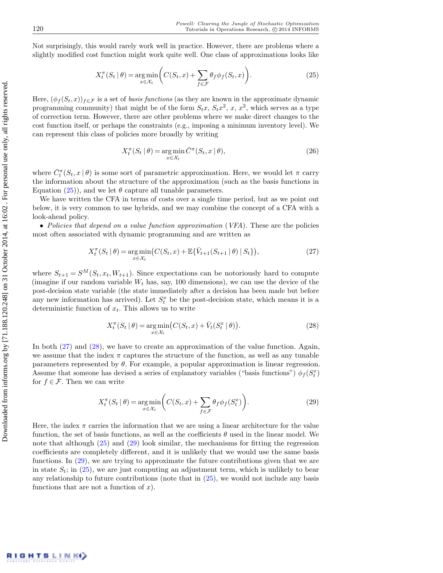Not surprisingly, this would rarely work well in practice. However, there are problems where a slightly modified cost function might work quite well. One class of approximations looks like

<span id="page-12-0"></span>
$$
X_t^{\pi}(S_t | \theta) = \underset{x \in \mathcal{X}_t}{\arg \min} \bigg( C(S_t, x) + \sum_{f \in \mathcal{F}} \theta_f \phi_f(S_t, x) \bigg). \tag{25}
$$

Here,  $(\phi_f(S_t, x))_{f \in \mathcal{F}}$  is a set of basis functions (as they are known in the approximate dynamic programming community) that might be of the form  $S_t x$ ,  $S_t x^2$ ,  $x$ ,  $x^2$ , which serves as a type of correction term. However, there are other problems where we make direct changes to the cost function itself, or perhaps the constraints (e.g., imposing a minimum inventory level). We can represent this class of policies more broadly by writing

$$
X_t^{\pi}(S_t | \theta) = \underset{x \in \mathcal{X}_t}{\arg \min} \bar{C}^{\pi}(S_t, x | \theta), \tag{26}
$$

where  $\bar{C}^{\pi}_t(S_t, x | \theta)$  is some sort of parametric approximation. Here, we would let  $\pi$  carry the information about the structure of the approximation (such as the basis functions in Equation [\(25\)](#page-12-0)), and we let  $\theta$  capture all tunable parameters.

We have written the CFA in terms of costs over a single time period, but as we point out below, it is very common to use hybrids, and we may combine the concept of a CFA with a look-ahead policy.

• Policies that depend on a value function approximation  $(VFA)$ . These are the policies most often associated with dynamic programming and are written as

<span id="page-12-1"></span>
$$
X_t^{\pi}(S_t | \theta) = \underset{x \in \mathcal{X}_t}{\arg \min} \left( C(S_t, x) + \mathbb{E} \{ \bar{V}_{t+1}(S_{t+1} | \theta) | S_t \} \right), \tag{27}
$$

where  $S_{t+1} = S^M(S_t, x_t, W_{t+1})$ . Since expectations can be notoriously hard to compute (imagine if our random variable  $W_t$  has, say, 100 dimensions), we can use the device of the post-decision state variable (the state immediately after a decision has been made but before any new information has arrived). Let  $S_t^x$  be the post-decision state, which means it is a deterministic function of  $x_t$ . This allows us to write

<span id="page-12-2"></span>
$$
X_t^{\pi}(S_t | \theta) = \underset{x \in \mathcal{X}_t}{\arg \min} \left( C(S_t, x) + \bar{V}_t(S_t^x | \theta) \right). \tag{28}
$$

In both [\(27\)](#page-12-1) and [\(28\)](#page-12-2), we have to create an approximation of the value function. Again, we assume that the index  $\pi$  captures the structure of the function, as well as any tunable parameters represented by  $\theta$ . For example, a popular approximation is linear regression. Assume that someone has devised a series of explanatory variables ("basis functions")  $\phi_f(S_t^x)$ for  $f \in \mathcal{F}$ . Then we can write

<span id="page-12-3"></span>
$$
X_t^{\pi}(S_t | \theta) = \underset{x \in \mathcal{X}_t}{\arg \min} \bigg( C(S_t, x) + \sum_{f \in \mathcal{F}} \theta_f \phi_f(S_t^x) \bigg). \tag{29}
$$

Here, the index  $\pi$  carries the information that we are using a linear architecture for the value function, the set of basis functions, as well as the coefficients  $\theta$  used in the linear model. We note that although [\(25\)](#page-12-0) and [\(29\)](#page-12-3) look similar, the mechanisms for fitting the regression coefficients are completely different, and it is unlikely that we would use the same basis functions. In [\(29\)](#page-12-3), we are trying to approximate the future contributions given that we are in state  $S_t$ ; in [\(25\)](#page-12-0), we are just computing an adjustment term, which is unlikely to bear any relationship to future contributions (note that in [\(25\)](#page-12-0), we would not include any basis functions that are not a function of  $x$ ).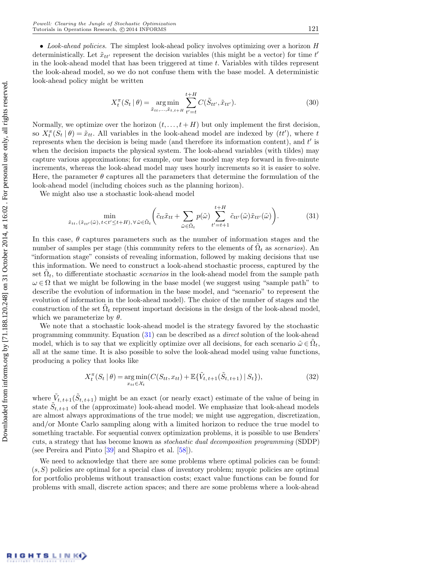• Look-ahead policies. The simplest look-ahead policy involves optimizing over a horizon H deterministically. Let  $\tilde{x}_{tt'}$  represent the decision variables (this might be a vector) for time  $t'$ in the look-ahead model that has been triggered at time  $t$ . Variables with tildes represent the look-ahead model, so we do not confuse them with the base model. A deterministic look-ahead policy might be written

$$
X_t^{\pi}(S_t | \theta) = \underset{\tilde{x}_{tt},..., \tilde{x}_{t,t+H}}{\arg \min} \sum_{t'=t}^{t+H} C(\tilde{S}_{tt'}, \tilde{x}_{tt'}). \tag{30}
$$

Normally, we optimize over the horizon  $(t, \ldots, t + H)$  but only implement the first decision, so  $X_t^{\pi}(S_t | \theta) = \tilde{x}_{tt}$ . All variables in the look-ahead model are indexed by  $(tt')$ , where t represents when the decision is being made (and therefore its information content), and  $t'$  is when the decision impacts the physical system. The look-ahead variables (with tildes) may capture various approximations; for example, our base model may step forward in five-minute increments, whereas the look-ahead model may uses hourly increments so it is easier to solve. Here, the parameter  $\theta$  captures all the parameters that determine the formulation of the look-ahead model (including choices such as the planning horizon).

We might also use a stochastic look-ahead model

<span id="page-13-0"></span>
$$
\min_{\tilde{x}_{tt},(\tilde{x}_{tt'}(\tilde{\omega}),t(31)
$$

In this case,  $\theta$  captures parameters such as the number of information stages and the number of samples per stage (this community refers to the elements of  $\tilde{\Omega}_t$  as scenarios). An "information stage" consists of revealing information, followed by making decisions that use this information. We need to construct a look-ahead stochastic process, captured by the set  $\tilde{\Omega}_t$ , to differentiate stochastic *scenarios* in the look-ahead model from the sample path  $\omega \in \Omega$  that we might be following in the base model (we suggest using "sample path" to describe the evolution of information in the base model, and "scenario" to represent the evolution of information in the look-ahead model). The choice of the number of stages and the construction of the set  $\tilde{\Omega}_t$  represent important decisions in the design of the look-ahead model, which we parameterize by  $\theta$ .

We note that a stochastic look-ahead model is the strategy favored by the stochastic programming community. Equation [\(31\)](#page-13-0) can be described as a direct solution of the look-ahead model, which is to say that we explicitly optimize over all decisions, for each scenario  $\tilde{\omega} \in \tilde{\Omega}_t$ , all at the same time. It is also possible to solve the look-ahead model using value functions, producing a policy that looks like

<span id="page-13-1"></span>
$$
X_t^{\pi}(S_t | \theta) = \underset{x_{tt} \in \mathcal{X}_t}{\arg \min} (C(S_{tt}, x_{tt}) + \mathbb{E}\{\tilde{V}_{t, t+1}(\tilde{S}_{t, t+1}) | S_t\}), \tag{32}
$$

where  $\tilde{V}_{t,t+1}(\tilde{S}_{t,t+1})$  might be an exact (or nearly exact) estimate of the value of being in state  $\tilde{S}_{t,t+1}$  of the (approximate) look-ahead model. We emphasize that look-ahead models are almost always approximations of the true model; we might use aggregation, discretization, and/or Monte Carlo sampling along with a limited horizon to reduce the true model to something tractable. For sequential convex optimization problems, it is possible to use Benders' cuts, a strategy that has become known as stochastic dual decomposition programming (SDDP) (see Pereira and Pinto [\[39\]](#page-28-8) and Shapiro et al. [\[58\]](#page-29-2)).

We need to acknowledge that there are some problems where optimal policies can be found:  $(s, S)$  policies are optimal for a special class of inventory problem; myopic policies are optimal for portfolio problems without transaction costs; exact value functions can be found for problems with small, discrete action spaces; and there are some problems where a look-ahead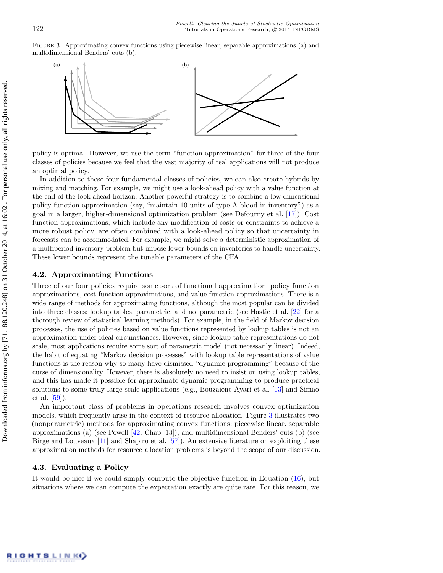Figure 3. Approximating convex functions using piecewise linear, separable approximations (a) and multidimensional Benders' cuts (b).

<span id="page-14-0"></span>

policy is optimal. However, we use the term "function approximation" for three of the four classes of policies because we feel that the vast majority of real applications will not produce an optimal policy.

In addition to these four fundamental classes of policies, we can also create hybrids by mixing and matching. For example, we might use a look-ahead policy with a value function at the end of the look-ahead horizon. Another powerful strategy is to combine a low-dimensional policy function approximation (say, "maintain 10 units of type A blood in inventory") as a goal in a larger, higher-dimensional optimization problem (see Defourny et al. [\[17\]](#page-27-4)). Cost function approximations, which include any modification of costs or constraints to achieve a more robust policy, are often combined with a look-ahead policy so that uncertainty in forecasts can be accommodated. For example, we might solve a deterministic approximation of a multiperiod inventory problem but impose lower bounds on inventories to handle uncertainty. These lower bounds represent the tunable parameters of the CFA.

#### 4.2. Approximating Functions

Three of our four policies require some sort of functional approximation: policy function approximations, cost function approximations, and value function approximations. There is a wide range of methods for approximating functions, although the most popular can be divided into three classes: lookup tables, parametric, and nonparametric (see Hastie et al. [\[22\]](#page-27-5) for a thorough review of statistical learning methods). For example, in the field of Markov decision processes, the use of policies based on value functions represented by lookup tables is not an approximation under ideal circumstances. However, since lookup table representations do not scale, most applications require some sort of parametric model (not necessarily linear). Indeed, the habit of equating "Markov decision processes" with lookup table representations of value functions is the reason why so many have dismissed "dynamic programming" because of the curse of dimensionality. However, there is absolutely no need to insist on using lookup tables, and this has made it possible for approximate dynamic programming to produce practical solutions to some truly large-scale applications (e.g., Bouzaiene-Ayari et al.  $[13]$  and Sim $\tilde{a}$ o et al. [\[59\]](#page-29-1)).

An important class of problems in operations research involves convex optimization models, which frequently arise in the context of resource allocation. Figure [3](#page-14-0) illustrates two (nonparametric) methods for approximating convex functions: piecewise linear, separable approximations (a) (see Powell  $[42,$  Chap. 13]), and multidimensional Benders' cuts (b) (see Birge and Louveaux [\[11\]](#page-26-4) and Shapiro et al. [\[57\]](#page-28-5)). An extensive literature on exploiting these approximation methods for resource allocation problems is beyond the scope of our discussion.

#### 4.3. Evaluating a Policy

It would be nice if we could simply compute the objective function in Equation [\(16\)](#page-6-0), but situations where we can compute the expectation exactly are quite rare. For this reason, we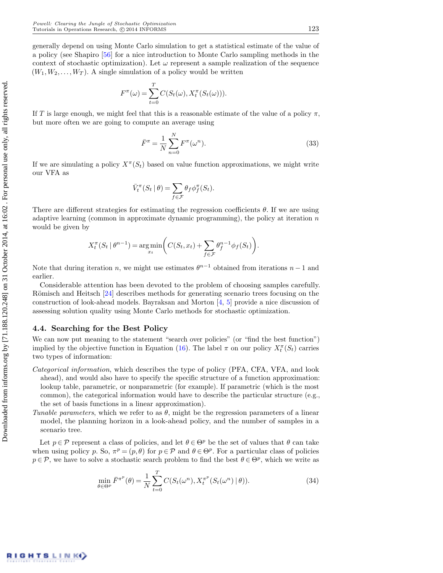generally depend on using Monte Carlo simulation to get a statistical estimate of the value of a policy (see Shapiro [\[56\]](#page-28-9) for a nice introduction to Monte Carlo sampling methods in the context of stochastic optimization). Let  $\omega$  represent a sample realization of the sequence  $(W_1, W_2, \ldots, W_T)$ . A single simulation of a policy would be written

$$
F^{\pi}(\omega) = \sum_{t=0}^{T} C(S_t(\omega), X_t^{\pi}(S_t(\omega))).
$$

If T is large enough, we might feel that this is a reasonable estimate of the value of a policy  $\pi$ , but more often we are going to compute an average using

$$
\bar{F}^{\pi} = \frac{1}{N} \sum_{n=0}^{N} F^{\pi}(\omega^n). \tag{33}
$$

If we are simulating a policy  $X^{\pi}(S_t)$  based on value function approximations, we might write our VFA as

$$
\bar{V}_t^{\pi}(S_t | \theta) = \sum_{f \in \mathcal{F}} \theta_f \phi_f^{\pi}(S_t).
$$

There are different strategies for estimating the regression coefficients  $\theta$ . If we are using adaptive learning (common in approximate dynamic programming), the policy at iteration  $n$ would be given by

$$
X_t^{\pi}(S_t | \theta^{n-1}) = \underset{x_t}{\arg\min} \bigg( C(S_t, x_t) + \sum_{f \in \mathcal{F}} \theta_f^{n-1} \phi_f(S_t) \bigg).
$$

Note that during iteration n, we might use estimates  $\theta^{n-1}$  obtained from iterations  $n-1$  and earlier.

Considerable attention has been devoted to the problem of choosing samples carefully. Römisch and Heitsch  $[24]$  describes methods for generating scenario trees focusing on the construction of look-ahead models. Bayraksan and Morton [\[4,](#page-26-5) [5\]](#page-26-6) provide a nice discussion of assessing solution quality using Monte Carlo methods for stochastic optimization.

#### 4.4. Searching for the Best Policy

We can now put meaning to the statement "search over policies" (or "find the best function") implied by the objective function in Equation [\(16\)](#page-6-0). The label  $\pi$  on our policy  $X_t^{\pi}(S_t)$  carries two types of information:

- Categorical information, which describes the type of policy (PFA, CFA, VFA, and look ahead), and would also have to specify the specific structure of a function approximation: lookup table, parametric, or nonparametric (for example). If parametric (which is the most common), the categorical information would have to describe the particular structure (e.g., the set of basis functions in a linear approximation).
- Tunable parameters, which we refer to as  $\theta$ , might be the regression parameters of a linear model, the planning horizon in a look-ahead policy, and the number of samples in a scenario tree.

Let  $p \in \mathcal{P}$  represent a class of policies, and let  $\theta \in \Theta^p$  be the set of values that  $\theta$  can take when using policy p. So,  $\pi^p = (p, \theta)$  for  $p \in \mathcal{P}$  and  $\theta \in \Theta^p$ . For a particular class of policies  $p \in \mathcal{P}$ , we have to solve a stochastic search problem to find the best  $\theta \in \Theta^p$ , which we write as

<span id="page-15-0"></span>
$$
\min_{\theta \in \Theta^p} \bar{F}^{\pi^p}(\theta) = \frac{1}{N} \sum_{t=0}^T C(S_t(\omega^n), X_t^{\pi^p}(S_t(\omega^n) \mid \theta)).
$$
\n(34)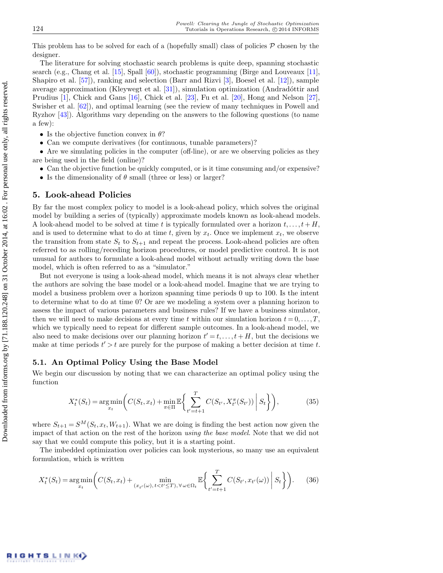This problem has to be solved for each of a (hopefully small) class of policies  $P$  chosen by the designer.

The literature for solving stochastic search problems is quite deep, spanning stochastic search (e.g., Chang et al. [\[15\]](#page-27-7), Spall [\[60\]](#page-29-3)), stochastic programming (Birge and Louveaux [\[11\]](#page-26-4), Shapiro et al. [\[57\]](#page-28-5)), ranking and selection (Barr and Rizvi [\[3\]](#page-26-7), Boesel et al. [\[12\]](#page-26-8)), sample average approximation (Kleywegt et al.  $[31]$ ), simulation optimization (Andradóttir and Prudius [\[1\]](#page-26-9), Chick and Gans [\[16\]](#page-27-9), Chick et al. [\[23\]](#page-27-10), Fu et al. [\[20\]](#page-27-11), Hong and Nelson [\[27\]](#page-27-12), Swisher et al. [\[62\]](#page-29-4)), and optimal learning (see the review of many techniques in Powell and Ryzhov [\[43\]](#page-28-7)). Algorithms vary depending on the answers to the following questions (to name a few):

- Is the objective function convex in  $\theta$ ?
- Can we compute derivatives (for continuous, tunable parameters)?

• Are we simulating policies in the computer (off-line), or are we observing policies as they are being used in the field (online)?

- Can the objective function be quickly computed, or is it time consuming and/or expensive?
- Is the dimensionality of  $\theta$  small (three or less) or larger?

#### 5. Look-ahead Policies

By far the most complex policy to model is a look-ahead policy, which solves the original model by building a series of (typically) approximate models known as look-ahead models. A look-ahead model to be solved at time t is typically formulated over a horizon  $t, \ldots, t + H$ , and is used to determine what to do at time t, given by  $x_t$ . Once we implement  $x_t$ , we observe the transition from state  $S_t$  to  $S_{t+1}$  and repeat the process. Look-ahead policies are often referred to as rolling/receding horizon procedures, or model predictive control. It is not unusual for authors to formulate a look-ahead model without actually writing down the base model, which is often referred to as a "simulator."

But not everyone is using a look-ahead model, which means it is not always clear whether the authors are solving the base model or a look-ahead model. Imagine that we are trying to model a business problem over a horizon spanning time periods 0 up to 100. Is the intent to determine what to do at time 0? Or are we modeling a system over a planning horizon to assess the impact of various parameters and business rules? If we have a business simulator, then we will need to make decisions at every time t within our simulation horizon  $t = 0, \ldots, T$ , which we typically need to repeat for different sample outcomes. In a look-ahead model, we also need to make decisions over our planning horizon  $t' = t, \ldots, t + H$ , but the decisions we make at time periods  $t' > t$  are purely for the purpose of making a better decision at time t.

#### 5.1. An Optimal Policy Using the Base Model

We begin our discussion by noting that we can characterize an optimal policy using the function

<span id="page-16-0"></span>
$$
X_t^*(S_t) = \underset{x_t}{\arg\min} \left( C(S_t, x_t) + \underset{\pi \in \Pi}{\min} \mathbb{E} \left\{ \sum_{t'=t+1}^T C(S_{t'}, X_{t'}^\pi(S_{t'})) \, \middle| \, S_t \right\} \right),\tag{35}
$$

where  $S_{t+1} = S^M(S_t, x_t, W_{t+1})$ . What we are doing is finding the best action now given the impact of that action on the rest of the horizon using the base model. Note that we did not say that we could compute this policy, but it is a starting point.

The imbedded optimization over policies can look mysterious, so many use an equivalent formulation, which is written

<span id="page-16-1"></span>
$$
X_t^*(S_t) = \underset{x_t}{\operatorname{arg\,min}} \left( C(S_t, x_t) + \underset{(x_{t'}(\omega), t < t' \le T), \forall \omega \in \Omega_t}{\operatorname{min}} \mathbb{E} \left\{ \sum_{t'=t+1}^T C(S_{t'}, x_{t'}(\omega)) \, \middle| \, S_t \right\} \right). \tag{36}
$$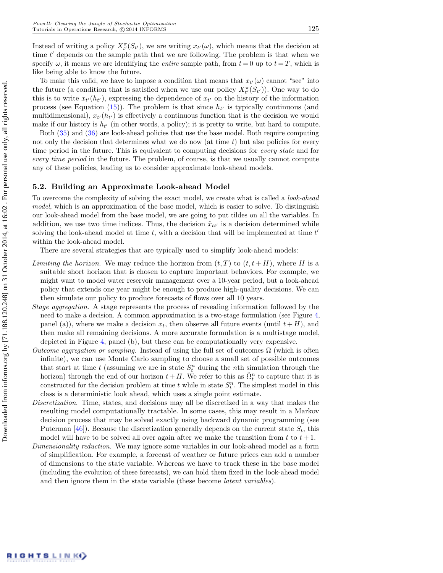Instead of writing a policy  $X_t^{\pi}(S_{t'})$ , we are writing  $x_{t'}(\omega)$ , which means that the decision at time  $t'$  depends on the sample path that we are following. The problem is that when we specify  $\omega$ , it means we are identifying the *entire* sample path, from  $t = 0$  up to  $t = T$ , which is like being able to know the future.

To make this valid, we have to impose a condition that means that  $x_{t'}(\omega)$  cannot "see" into the future (a condition that is satisfied when we use our policy  $X_t^{\pi}(S_{t'})$ ). One way to do this is to write  $x_{t'}(h_{t'})$ , expressing the dependence of  $x_{t'}$  on the history of the information process (see Equation [\(15\)](#page-5-0)). The problem is that since  $h_{t'}$  is typically continuous (and multidimensional),  $x_{t'}(h_{t'})$  is effectively a continuous function that is the decision we would make if our history is  $h_{t'}$  (in other words, a policy); it is pretty to write, but hard to compute.

Both [\(35\)](#page-16-0) and [\(36\)](#page-16-1) are look-ahead policies that use the base model. Both require computing not only the decision that determines what we do now (at time  $t$ ) but also policies for every time period in the future. This is equivalent to computing decisions for *every state* and for every time period in the future. The problem, of course, is that we usually cannot compute any of these policies, leading us to consider approximate look-ahead models.

#### 5.2. Building an Approximate Look-ahead Model

To overcome the complexity of solving the exact model, we create what is called a look-ahead model, which is an approximation of the base model, which is easier to solve. To distinguish our look-ahead model from the base model, we are going to put tildes on all the variables. In addition, we use two time indices. Thus, the decision  $\tilde{x}_{tt'}$  is a decision determined while solving the look-ahead model at time  $t$ , with a decision that will be implemented at time  $t'$ within the look-ahead model.

There are several strategies that are typically used to simplify look-ahead models:

- Limiting the horizon. We may reduce the horizon from  $(t, T)$  to  $(t, t + H)$ , where H is a suitable short horizon that is chosen to capture important behaviors. For example, we might want to model water reservoir management over a 10-year period, but a look-ahead policy that extends one year might be enough to produce high-quality decisions. We can then simulate our policy to produce forecasts of flows over all 10 years.
- Stage aggregation. A stage represents the process of revealing information followed by the need to make a decision. A common approximation is a two-stage formulation (see Figure [4,](#page-18-0) panel (a)), where we make a decision  $x_t$ , then observe all future events (until  $t + H$ ), and then make all remaining decisions. A more accurate formulation is a multistage model, depicted in Figure [4,](#page-18-0) panel (b), but these can be computationally very expensive.
- Outcome aggregation or sampling. Instead of using the full set of outcomes  $\Omega$  (which is often infinite), we can use Monte Carlo sampling to choose a small set of possible outcomes that start at time t (assuming we are in state  $S_t^n$  during the nth simulation through the horizon) through the end of our horizon  $t + H$ . We refer to this as  $\tilde{\Omega}_t^n$  to capture that it is constructed for the decision problem at time t while in state  $S_t^n$ . The simplest model in this class is a deterministic look ahead, which uses a single point estimate.
- Discretization. Time, states, and decisions may all be discretized in a way that makes the resulting model computationally tractable. In some cases, this may result in a Markov decision process that may be solved exactly using backward dynamic programming (see Puterman [\[46\]](#page-28-2)). Because the discretization generally depends on the current state  $S_t$ , this model will have to be solved all over again after we make the transition from t to  $t + 1$ .
- Dimensionality reduction. We may ignore some variables in our look-ahead model as a form of simplification. For example, a forecast of weather or future prices can add a number of dimensions to the state variable. Whereas we have to track these in the base model (including the evolution of these forecasts), we can hold them fixed in the look-ahead model and then ignore them in the state variable (these become *latent variables*).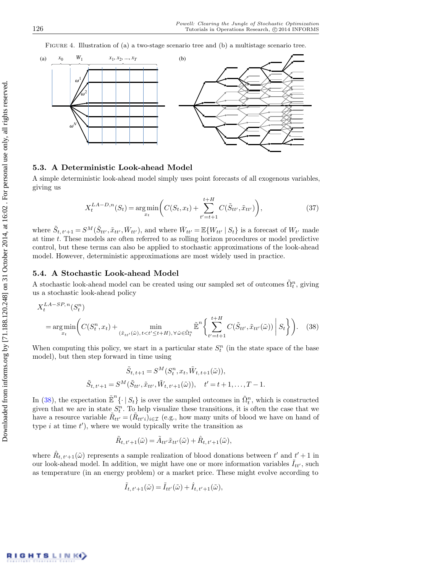<span id="page-18-0"></span>Figure 4. Illustration of (a) a two-stage scenario tree and (b) a multistage scenario tree.



#### 5.3. A Deterministic Look-ahead Model

A simple deterministic look-ahead model simply uses point forecasts of all exogenous variables, giving us

$$
X_t^{LA-D,n}(S_t) = \underset{x_t}{\arg\min} \bigg( C(S_t, x_t) + \sum_{t'=t+1}^{t+H} C(\tilde{S}_{tt'}, \tilde{x}_{tt'}) \bigg), \tag{37}
$$

where  $\tilde{S}_{t,t'+1} = S^M(\tilde{S}_{tt'}, \tilde{x}_{tt'}, \bar{W}_{tt'})$ , and where  $\bar{W}_{tt'} = \mathbb{E}\{W_{tt'} | S_t\}$  is a forecast of  $W_{t'}$  made at time t. These models are often referred to as rolling horizon procedures or model predictive control, but these terms can also be applied to stochastic approximations of the look-ahead model. However, deterministic approximations are most widely used in practice.

#### 5.4. A Stochastic Look-ahead Model

A stochastic look-ahead model can be created using our sampled set of outcomes  $\tilde{\Omega}_t^n$ , giving us a stochastic look-ahead policy

<span id="page-18-1"></span>
$$
X_t^{LA-SP,n}(S_t^n)
$$
  
= 
$$
\underset{x_t}{\arg\min} \left( C(S_t^n, x_t) + \underset{(\tilde{x}_{tt'}(\tilde{\omega}), t < t' \le t + H), \forall \tilde{\omega} \in \tilde{\Omega}_t^n}{\min} \left\{ \sum_{t'=t+1}^{t+H} C(\tilde{S}_{tt'}, \tilde{x}_{tt'}(\tilde{\omega})) \middle| S_t \right\} \right). \quad (38)
$$

When computing this policy, we start in a particular state  $S_t^n$  (in the state space of the base model), but then step forward in time using

$$
\tilde{S}_{t, t+1} = S^M(S_t^n, x_t, \tilde{W}_{t, t+1}(\tilde{\omega})),
$$
  

$$
\tilde{S}_{t, t'+1} = S^M(\tilde{S}_{tt'}, \tilde{x}_{tt'}, \tilde{W}_{t, t'+1}(\tilde{\omega})), \quad t' = t+1, \dots, T-1.
$$

In [\(38\)](#page-18-1), the expectation  $\tilde{\mathbb{E}}^n\{\cdot | S_t\}$  is over the sampled outcomes in  $\tilde{\Omega}_t^n$ , which is constructed given that we are in state  $S_t^n$ . To help visualize these transitions, it is often the case that we have a resource variable  $\tilde{R}_{tt'} = (\tilde{R}_{tt'}_i)_{i \in \mathcal{I}}$  (e.g., how many units of blood we have on hand of type  $i$  at time  $t'$ ), where we would typically write the transition as

$$
\tilde{R}_{t, t'+1}(\tilde{\omega}) = \tilde{A}_{tt'} \tilde{x}_{tt'}(\tilde{\omega}) + \hat{R}_{t, t'+1}(\tilde{\omega}),
$$

where  $\hat{R}_{t,t'+1}(\tilde{\omega})$  represents a sample realization of blood donations between t' and  $t'+1$  in our look-ahead model. In addition, we might have one or more information variables  $I_{tt}$ , such as temperature (in an energy problem) or a market price. These might evolve according to

$$
\tilde{I}_{t, t'+1}(\tilde{\omega}) = \tilde{I}_{tt'}(\tilde{\omega}) + \hat{I}_{t, t'+1}(\tilde{\omega}),
$$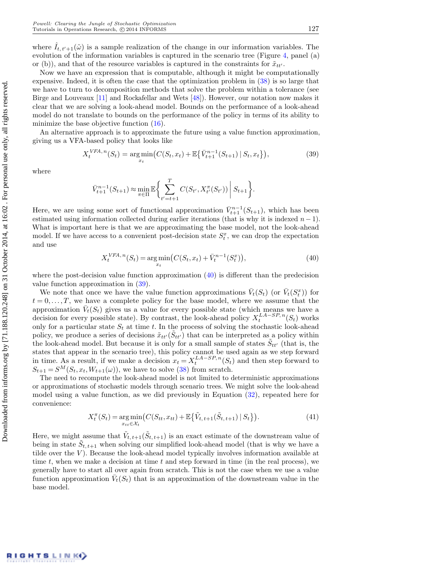where  $I_{t,t'+1}(\tilde{\omega})$  is a sample realization of the change in our information variables. The evolution of the information variables is captured in the scenario tree (Figure [4,](#page-18-0) panel (a) or (b)), and that of the resource variables is captured in the constraints for  $\tilde{x}_{tt}$ .

Now we have an expression that is computable, although it might be computationally expensive. Indeed, it is often the case that the optimization problem in [\(38\)](#page-18-1) is so large that we have to turn to decomposition methods that solve the problem within a tolerance (see Birge and Louveaux [\[11\]](#page-26-4) and Rockafellar and Wets [\[48\]](#page-28-10)). However, our notation now makes it clear that we are solving a look-ahead model. Bounds on the performance of a look-ahead model do not translate to bounds on the performance of the policy in terms of its ability to minimize the base objective function [\(16\)](#page-6-0).

An alternative approach is to approximate the future using a value function approximation, giving us a VFA-based policy that looks like

<span id="page-19-1"></span>
$$
X_t^{VFA,n}(S_t) = \underset{x_t}{\arg\min} \left( C(S_t, x_t) + \mathbb{E} \{ \bar{V}_{t+1}^{n-1}(S_{t+1}) \, | \, S_t, x_t \} \right),\tag{39}
$$

where

$$
\bar{V}_{t+1}^{n-1}(S_{t+1}) \approx \min_{\pi \in \Pi} \mathbb{E} \bigg\{ \sum_{t'=t+1}^{T} C(S_{t'}, X_{t'}^{\pi}(S_{t'})) \mid S_{t+1} \bigg\}.
$$

Here, we are using some sort of functional approximation  $\bar{V}_{t+1}^{n-1}(S_{t+1})$ , which has been estimated using information collected during earlier iterations (that is why it is indexed  $n-1$ ). What is important here is that we are approximating the base model, not the look-ahead model. If we have access to a convenient post-decision state  $S_t^x$ , we can drop the expectation and use

<span id="page-19-0"></span>
$$
X_t^{VFA, n}(S_t) = \underset{x_t}{\arg\min} (C(S_t, x_t) + \bar{V}_t^{n-1}(S_t^x)), \tag{40}
$$

where the post-decision value function approximation [\(40\)](#page-19-0) is different than the predecision value function approximation in [\(39\)](#page-19-1).

We note that once we have the value function approximations  $\bar{V}_t(S_t)$  (or  $\bar{V}_t(S_t^x)$ ) for  $t = 0, \ldots, T$ , we have a complete policy for the base model, where we assume that the approximation  $\bar{V}_t(S_t)$  gives us a value for every possible state (which means we have a decision for every possible state). By contrast, the look-ahead policy  $X_t^{LA-SP,n}(S_t)$  works only for a particular state  $S_t$  at time t. In the process of solving the stochastic look-ahead policy, we produce a series of decisions  $\tilde{x}_{tt'}(\tilde{S}_{tt'})$  that can be interpreted as a policy within the look-ahead model. But because it is only for a small sample of states  $S_{tt'}$  (that is, the states that appear in the scenario tree), this policy cannot be used again as we step forward in time. As a result, if we make a decision  $x_t = X_t^{LA-SP,n}(S_t)$  and then step forward to  $S_{t+1} = S^M(S_t, x_t, W_{t+1}(\omega))$ , we have to solve [\(38\)](#page-18-1) from scratch.

The need to recompute the look-ahead model is not limited to deterministic approximations or approximations of stochastic models through scenario trees. We might solve the look-ahead model using a value function, as we did previously in Equation [\(32\)](#page-13-1), repeated here for convenience:

$$
X_t^{\pi}(S_t) = \underset{x_{tt} \in \mathcal{X}_t}{\arg \min} \big( C(S_{tt}, x_{tt}) + \mathbb{E} \{ \tilde{V}_{t, t+1}(\tilde{S}_{t, t+1}) \, | \, S_t \} \big). \tag{41}
$$

Here, we might assume that  $\tilde{V}_{t,t+1}(\tilde{S}_{t,t+1})$  is an exact estimate of the downstream value of being in state  $\tilde{S}_{t,t+1}$  when solving our simplified look-ahead model (that is why we have a tilde over the  $V$ ). Because the look-ahead model typically involves information available at time  $t$ , when we make a decision at time  $t$  and step forward in time (in the real process), we generally have to start all over again from scratch. This is not the case when we use a value function approximation  $\bar{V}_t(S_t)$  that is an approximation of the downstream value in the base model.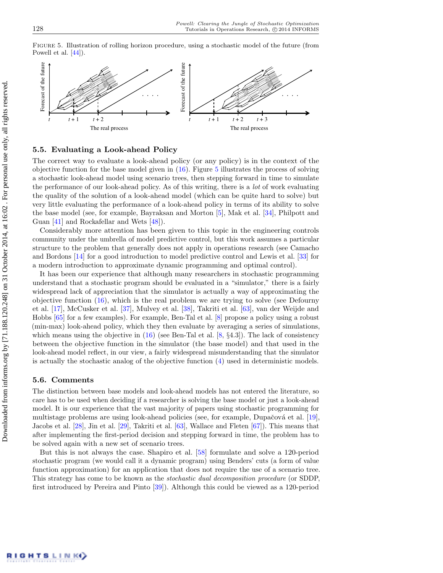<span id="page-20-1"></span>Figure 5. Illustration of rolling horizon procedure, using a stochastic model of the future (from Powell et al. [\[44\]](#page-28-0)).



#### 5.5. Evaluating a Look-ahead Policy

The correct way to evaluate a look-ahead policy (or any policy) is in the context of the objective function for the base model given in  $(16)$ . Figure [5](#page-20-1) illustrates the process of solving a stochastic look-ahead model using scenario trees, then stepping forward in time to simulate the performance of our look-ahead policy. As of this writing, there is a *lot* of work evaluating the quality of the solution of a look-ahead model (which can be quite hard to solve) but very little evaluating the performance of a look-ahead policy in terms of its ability to solve the base model (see, for example, Bayraksan and Morton [\[5\]](#page-26-6), Mak et al. [\[34\]](#page-27-13), Philpott and Guan [\[41\]](#page-28-11) and Rockafellar and Wets [\[48\]](#page-28-10)).

Considerably more attention has been given to this topic in the engineering controls community under the umbrella of model predictive control, but this work assumes a particular structure to the problem that generally does not apply in operations research (see Camacho and Bordons [\[14\]](#page-27-14) for a good introduction to model predictive control and Lewis et al. [\[33\]](#page-27-2) for a modern introduction to approximate dynamic programming and optimal control).

It has been our experience that although many researchers in stochastic programming understand that a stochastic program should be evaluated in a "simulator," there is a fairly widespread lack of appreciation that the simulator is actually a way of approximating the objective function [\(16\)](#page-6-0), which is the real problem we are trying to solve (see Defourny et al. [\[17\]](#page-27-4), McCusker et al. [\[37\]](#page-28-12), Mulvey et al. [\[38\]](#page-28-13), Takriti et al. [\[63\]](#page-29-5), van der Weijde and Hobbs [\[65\]](#page-29-6) for a few examples). For example, Ben-Tal et al. [\[8\]](#page-26-10) propose a policy using a robust (min-max) look-ahead policy, which they then evaluate by averaging a series of simulations, which means using the objective in  $(16)$  (see Ben-Tal et al. [\[8,](#page-26-10) §4.3]). The lack of consistency between the objective function in the simulator (the base model) and that used in the look-ahead model reflect, in our view, a fairly widespread misunderstanding that the simulator is actually the stochastic analog of the objective function [\(4\)](#page-1-1) used in deterministic models.

#### <span id="page-20-0"></span>5.6. Comments

The distinction between base models and look-ahead models has not entered the literature, so care has to be used when deciding if a researcher is solving the base model or just a look-ahead model. It is our experience that the vast majority of papers using stochastic programming for multistage problems are using look-ahead policies (see, for example, Dupačová et al. [\[19\]](#page-27-15), Jacobs et al. [\[28\]](#page-27-16), Jin et al. [\[29\]](#page-27-17), Takriti et al. [\[63\]](#page-29-5), Wallace and Fleten [\[67\]](#page-29-7)). This means that after implementing the first-period decision and stepping forward in time, the problem has to be solved again with a new set of scenario trees.

But this is not always the case. Shapiro et al. [\[58\]](#page-29-2) formulate and solve a 120-period stochastic program (we would call it a dynamic program) using Benders' cuts (a form of value function approximation) for an application that does not require the use of a scenario tree. This strategy has come to be known as the stochastic dual decomposition procedure (or SDDP, first introduced by Pereira and Pinto [\[39\]](#page-28-8)). Although this could be viewed as a 120-period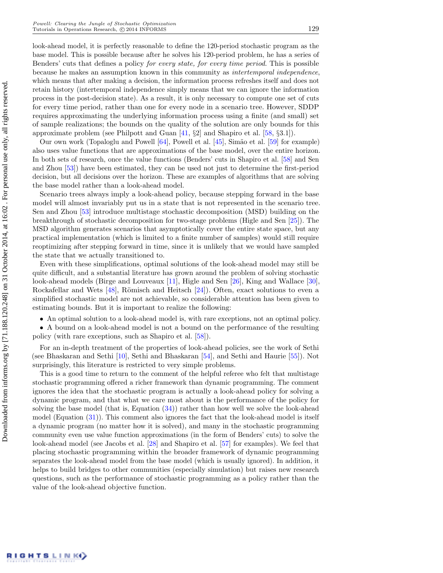look-ahead model, it is perfectly reasonable to define the 120-period stochastic program as the base model. This is possible because after he solves his 120-period problem, he has a series of Benders' cuts that defines a policy for every state, for every time period. This is possible because he makes an assumption known in this community as intertemporal independence, which means that after making a decision, the information process refreshes itself and does not retain history (intertemporal independence simply means that we can ignore the information process in the post-decision state). As a result, it is only necessary to compute one set of cuts for every time period, rather than one for every node in a scenario tree. However, SDDP requires approximating the underlying information process using a finite (and small) set of sample realizations; the bounds on the quality of the solution are only bounds for this approximate problem (see Philpott and Guan [\[41,](#page-28-11) §2] and Shapiro et al. [\[58,](#page-29-2) §3.1]).

Our own work (Topaloglu and Powell [\[64\]](#page-29-8), Powell et al. [\[45\]](#page-28-1), Sim˜ao et al. [\[59\]](#page-29-1) for example) also uses value functions that are approximations of the base model, over the entire horizon. In both sets of research, once the value functions (Benders' cuts in Shapiro et al. [\[58\]](#page-29-2) and Sen and Zhou [\[53\]](#page-28-14)) have been estimated, they can be used not just to determine the first-period decision, but all decisions over the horizon. These are examples of algorithms that are solving the base model rather than a look-ahead model.

Scenario trees always imply a look-ahead policy, because stepping forward in the base model will almost invariably put us in a state that is not represented in the scenario tree. Sen and Zhou [\[53\]](#page-28-14) introduce multistage stochastic decomposition (MSD) building on the breakthrough of stochastic decomposition for two-stage problems (Higle and Sen [\[25\]](#page-27-18)). The MSD algorithm generates scenarios that asymptotically cover the entire state space, but any practical implementation (which is limited to a finite number of samples) would still require reoptimizing after stepping forward in time, since it is unlikely that we would have sampled the state that we actually transitioned to.

Even with these simplifications, optimal solutions of the look-ahead model may still be quite difficult, and a substantial literature has grown around the problem of solving stochastic look-ahead models (Birge and Louveaux [\[11\]](#page-26-4), Higle and Sen [\[26\]](#page-27-19), King and Wallace [\[30\]](#page-27-20), Rockafellar and Wets  $[48]$ , Römisch and Heitsch  $[24]$ ). Often, exact solutions to even a simplified stochastic model are not achievable, so considerable attention has been given to estimating bounds. But it is important to realize the following:

• An optimal solution to a look-ahead model is, with rare exceptions, not an optimal policy.

• A bound on a look-ahead model is not a bound on the performance of the resulting policy (with rare exceptions, such as Shapiro et al. [\[58\]](#page-29-2)).

For an in-depth treatment of the properties of look-ahead policies, see the work of Sethi (see Bhaskaran and Sethi [\[10\]](#page-26-11), Sethi and Bhaskaran [\[54\]](#page-28-15), and Sethi and Haurie [\[55\]](#page-28-16)). Not surprisingly, this literature is restricted to very simple problems.

This is a good time to return to the comment of the helpful referee who felt that multistage stochastic programming offered a richer framework than dynamic programming. The comment ignores the idea that the stochastic program is actually a look-ahead policy for solving a dynamic program, and that what we care most about is the performance of the policy for solving the base model (that is, Equation [\(34\)](#page-15-0)) rather than how well we solve the look-ahead model (Equation [\(31\)](#page-13-0)). This comment also ignores the fact that the look-ahead model is itself a dynamic program (no matter how it is solved), and many in the stochastic programming community even use value function approximations (in the form of Benders' cuts) to solve the look-ahead model (see Jacobs et al. [\[28\]](#page-27-16) and Shapiro et al. [\[57\]](#page-28-5) for examples). We feel that placing stochastic programming within the broader framework of dynamic programming separates the look-ahead model from the base model (which is usually ignored). In addition, it helps to build bridges to other communities (especially simulation) but raises new research questions, such as the performance of stochastic programming as a policy rather than the value of the look-ahead objective function.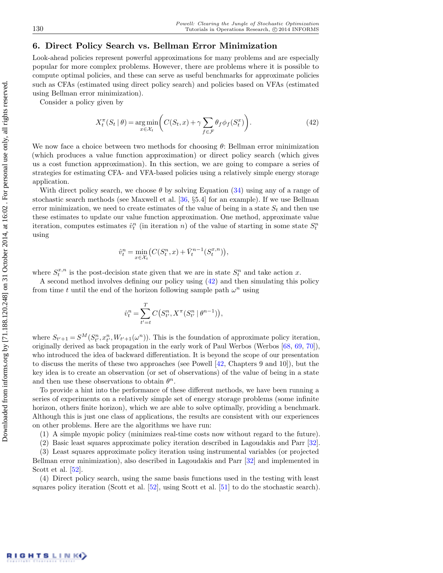### 6. Direct Policy Search vs. Bellman Error Minimization

Look-ahead policies represent powerful approximations for many problems and are especially popular for more complex problems. However, there are problems where it is possible to compute optimal policies, and these can serve as useful benchmarks for approximate policies such as CFAs (estimated using direct policy search) and policies based on VFAs (estimated using Bellman error minimization).

Consider a policy given by

<span id="page-22-0"></span>
$$
X_t^{\pi}(S_t | \theta) = \underset{x \in \mathcal{X}_t}{\arg \min} \bigg( C(S_t, x) + \gamma \sum_{f \in \mathcal{F}} \theta_f \phi_f(S_t^x) \bigg). \tag{42}
$$

We now face a choice between two methods for choosing  $\theta$ : Bellman error minimization (which produces a value function approximation) or direct policy search (which gives us a cost function approximation). In this section, we are going to compare a series of strategies for estimating CFA- and VFA-based policies using a relatively simple energy storage application.

With direct policy search, we choose  $\theta$  by solving Equation [\(34\)](#page-15-0) using any of a range of stochastic search methods (see Maxwell et al. [\[36,](#page-28-17) §5.4] for an example). If we use Bellman error minimization, we need to create estimates of the value of being in a state  $S_t$  and then use these estimates to update our value function approximation. One method, approximate value iteration, computes estimates  $\hat{v}_t^n$  (in iteration n) of the value of starting in some state  $S_t^n$ using

$$
\hat{v}_t^n = \min_{x \in \mathcal{X}_t} \left( C(S_t^n, x) + \bar{V}_t^{n-1}(S_t^{x,n}) \right),
$$

where  $S_t^{x,n}$  is the post-decision state given that we are in state  $S_t^n$  and take action x.

A second method involves defining our policy using [\(42\)](#page-22-0) and then simulating this policy from time t until the end of the horizon following sample path  $\omega^n$  using

$$
\hat{v}_t^n = \sum_{t'=t}^T C(S_{t'}^n, X^{\pi}(S_{t'}^n \mid \theta^{n-1})),
$$

where  $S_{t'+1} = S^M(S_{t'}^n, x_{t'}^n, W_{t'+1}(\omega^n))$ . This is the foundation of approximate policy iteration, originally derived as back propagation in the early work of Paul Werbos (Werbos [\[68,](#page-29-9) [69,](#page-29-10) [70\]](#page-29-11)), who introduced the idea of backward differentiation. It is beyond the scope of our presentation to discuss the merits of these two approaches (see Powell [\[42,](#page-28-3) Chapters 9 and 10]), but the key idea is to create an observation (or set of observations) of the value of being in a state and then use these observations to obtain  $\theta^n$ .

To provide a hint into the performance of these different methods, we have been running a series of experiments on a relatively simple set of energy storage problems (some infinite horizon, others finite horizon), which we are able to solve optimally, providing a benchmark. Although this is just one class of applications, the results are consistent with our experiences on other problems. Here are the algorithms we have run:

(1) A simple myopic policy (minimizes real-time costs now without regard to the future).

- (2) Basic least squares approximate policy iteration described in Lagoudakis and Parr [\[32\]](#page-27-21).
- (3) Least squares approximate policy iteration using instrumental variables (or projected Bellman error minimization), also described in Lagoudakis and Parr [\[32\]](#page-27-21) and implemented in Scott et al. [\[52\]](#page-28-18).

(4) Direct policy search, using the same basis functions used in the testing with least squares policy iteration (Scott et al. [\[52\]](#page-28-18), using Scott et al. [\[51\]](#page-28-19) to do the stochastic search).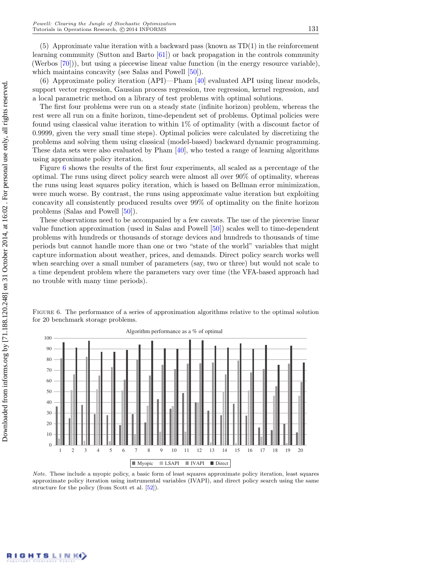(5) Approximate value iteration with a backward pass (known as TD(1) in the reinforcement learning community (Sutton and Barto  $[61]$ ) or back propagation in the controls community (Werbos [\[70\]](#page-29-11))), but using a piecewise linear value function (in the energy resource variable), which maintains concavity (see Salas and Powell [\[50\]](#page-28-20)).

(6) Approximate policy iteration (API)—Pham [\[40\]](#page-28-21) evaluated API using linear models, support vector regression, Gaussian process regression, tree regression, kernel regression, and a local parametric method on a library of test problems with optimal solutions.

The first four problems were run on a steady state (infinite horizon) problem, whereas the rest were all run on a finite horizon, time-dependent set of problems. Optimal policies were found using classical value iteration to within 1% of optimality (with a discount factor of 0.9999, given the very small time steps). Optimal policies were calculated by discretizing the problems and solving them using classical (model-based) backward dynamic programming. These data sets were also evaluated by Pham [\[40\]](#page-28-21), who tested a range of learning algorithms using approximate policy iteration.

Figure [6](#page-23-0) shows the results of the first four experiments, all scaled as a percentage of the optimal. The runs using direct policy search were almost all over 90% of optimality, whereas the runs using least squares policy iteration, which is based on Bellman error minimization, were much worse. By contrast, the runs using approximate value iteration but exploiting concavity all consistently produced results over 99% of optimality on the finite horizon problems (Salas and Powell [\[50\]](#page-28-20)).

These observations need to be accompanied by a few caveats. The use of the piecewise linear value function approximation (used in Salas and Powell [\[50\]](#page-28-20)) scales well to time-dependent problems with hundreds or thousands of storage devices and hundreds to thousands of time periods but cannot handle more than one or two "state of the world" variables that might capture information about weather, prices, and demands. Direct policy search works well when searching over a small number of parameters (say, two or three) but would not scale to a time dependent problem where the parameters vary over time (the VFA-based approach had no trouble with many time periods).



<span id="page-23-0"></span>Figure 6. The performance of a series of approximation algorithms relative to the optimal solution for 20 benchmark storage problems.

Note. These include a myopic policy, a basic form of least squares approximate policy iteration, least squares approximate policy iteration using instrumental variables (IVAPI), and direct policy search using the same structure for the policy (from Scott et al. [\[52\]](#page-28-18)).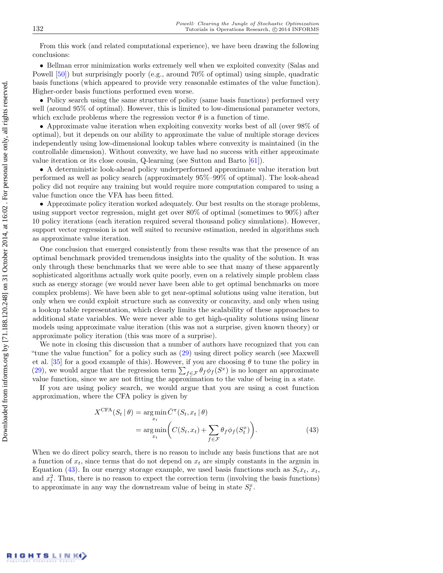From this work (and related computational experience), we have been drawing the following conclusions:

• Bellman error minimization works extremely well when we exploited convexity (Salas and Powell [\[50\]](#page-28-20)) but surprisingly poorly (e.g., around 70% of optimal) using simple, quadratic basis functions (which appeared to provide very reasonable estimates of the value function). Higher-order basis functions performed even worse.

• Policy search using the same structure of policy (same basis functions) performed very well (around  $95\%$  of optimal). However, this is limited to low-dimensional parameter vectors, which exclude problems where the regression vector  $\theta$  is a function of time.

• Approximate value iteration when exploiting convexity works best of all (over 98% of optimal), but it depends on our ability to approximate the value of multiple storage devices independently using low-dimensional lookup tables where convexity is maintained (in the controllable dimension). Without convexity, we have had no success with either approximate value iteration or its close cousin, Q-learning (see Sutton and Barto [\[61\]](#page-29-12)).

• A deterministic look-ahead policy underperformed approximate value iteration but performed as well as policy search (approximately 95%–99% of optimal). The look-ahead policy did not require any training but would require more computation compared to using a value function once the VFA has been fitted.

• Approximate policy iteration worked adequately. Our best results on the storage problems, using support vector regression, might get over 80% of optimal (sometimes to 90%) after 10 policy iterations (each iteration required several thousand policy simulations). However, support vector regression is not well suited to recursive estimation, needed in algorithms such as approximate value iteration.

One conclusion that emerged consistently from these results was that the presence of an optimal benchmark provided tremendous insights into the quality of the solution. It was only through these benchmarks that we were able to see that many of these apparently sophisticated algorithms actually work quite poorly, even on a relatively simple problem class such as energy storage (we would never have been able to get optimal benchmarks on more complex problems). We have been able to get near-optimal solutions using value iteration, but only when we could exploit structure such as convexity or concavity, and only when using a lookup table representation, which clearly limits the scalability of these approaches to additional state variables. We were never able to get high-quality solutions using linear models using approximate value iteration (this was not a surprise, given known theory) or approximate policy iteration (this was more of a surprise).

We note in closing this discussion that a number of authors have recognized that you can "tune the value function" for a policy such as [\(29\)](#page-12-3) using direct policy search (see Maxwell et al. [\[35\]](#page-27-22) for a good example of this). However, if you are choosing  $\theta$  to tune the policy in [\(29\)](#page-12-3), we would argue that the regression term  $\sum_{f \in \mathcal{F}} \theta_f \phi_f(S^x)$  is no longer an approximate value function, since we are not fitting the approximation to the value of being in a state.

If you are using policy search, we would argue that you are using a cost function approximation, where the CFA policy is given by

<span id="page-24-0"></span>
$$
X^{\text{CFA}}(S_t | \theta) = \underset{x_t}{\text{arg min}} \bar{C}^{\pi}(S_t, x_t | \theta)
$$
  
= 
$$
\underset{x_t}{\text{arg min}} \left( C(S_t, x_t) + \sum_{f \in \mathcal{F}} \theta_f \phi_f(S_t^x) \right).
$$
 (43)

When we do direct policy search, there is no reason to include any basis functions that are not a function of  $x_t$ , since terms that do not depend on  $x_t$  are simply constants in the argmin in Equation [\(43\)](#page-24-0). In our energy storage example, we used basis functions such as  $S_t x_t$ ,  $x_t$ , and  $x_t^2$ . Thus, there is no reason to expect the correction term (involving the basis functions) to approximate in any way the downstream value of being in state  $S_t^x$ .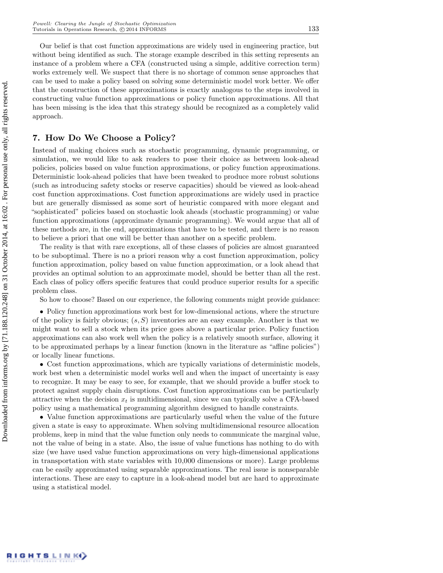Our belief is that cost function approximations are widely used in engineering practice, but without being identified as such. The storage example described in this setting represents an instance of a problem where a CFA (constructed using a simple, additive correction term) works extremely well. We suspect that there is no shortage of common sense approaches that can be used to make a policy based on solving some deterministic model work better. We offer that the construction of these approximations is exactly analogous to the steps involved in constructing value function approximations or policy function approximations. All that has been missing is the idea that this strategy should be recognized as a completely valid approach.

# 7. How Do We Choose a Policy?

Instead of making choices such as stochastic programming, dynamic programming, or simulation, we would like to ask readers to pose their choice as between look-ahead policies, policies based on value function approximations, or policy function approximations. Deterministic look-ahead policies that have been tweaked to produce more robust solutions (such as introducing safety stocks or reserve capacities) should be viewed as look-ahead cost function approximations. Cost function approximations are widely used in practice but are generally dismissed as some sort of heuristic compared with more elegant and "sophisticated" policies based on stochastic look aheads (stochastic programming) or value function approximations (approximate dynamic programming). We would argue that all of these methods are, in the end, approximations that have to be tested, and there is no reason to believe a priori that one will be better than another on a specific problem.

The reality is that with rare exceptions, all of these classes of policies are almost guaranteed to be suboptimal. There is no a priori reason why a cost function approximation, policy function approximation, policy based on value function approximation, or a look ahead that provides an optimal solution to an approximate model, should be better than all the rest. Each class of policy offers specific features that could produce superior results for a specific problem class.

So how to choose? Based on our experience, the following comments might provide guidance:

• Policy function approximations work best for low-dimensional actions, where the structure of the policy is fairly obvious;  $(s, S)$  inventories are an easy example. Another is that we might want to sell a stock when its price goes above a particular price. Policy function approximations can also work well when the policy is a relatively smooth surface, allowing it to be approximated perhaps by a linear function (known in the literature as "affine policies") or locally linear functions.

• Cost function approximations, which are typically variations of deterministic models, work best when a deterministic model works well and when the impact of uncertainty is easy to recognize. It may be easy to see, for example, that we should provide a buffer stock to protect against supply chain disruptions. Cost function approximations can be particularly attractive when the decision  $x_t$  is multidimensional, since we can typically solve a CFA-based policy using a mathematical programming algorithm designed to handle constraints.

• Value function approximations are particularly useful when the value of the future given a state is easy to approximate. When solving multidimensional resource allocation problems, keep in mind that the value function only needs to communicate the marginal value, not the value of being in a state. Also, the issue of value functions has nothing to do with size (we have used value function approximations on very high-dimensional applications in transportation with state variables with 10,000 dimensions or more). Large problems can be easily approximated using separable approximations. The real issue is nonseparable interactions. These are easy to capture in a look-ahead model but are hard to approximate using a statistical model.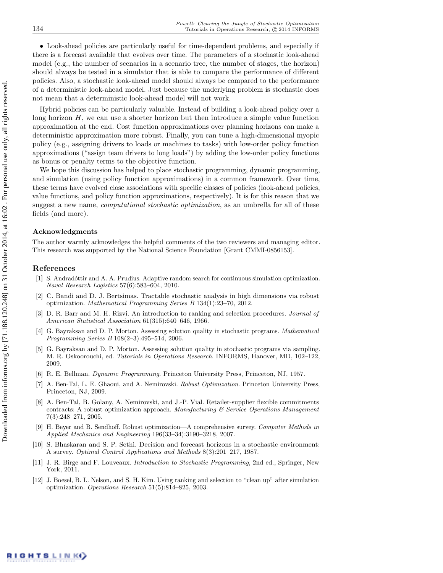• Look-ahead policies are particularly useful for time-dependent problems, and especially if there is a forecast available that evolves over time. The parameters of a stochastic look-ahead model (e.g., the number of scenarios in a scenario tree, the number of stages, the horizon) should always be tested in a simulator that is able to compare the performance of different policies. Also, a stochastic look-ahead model should always be compared to the performance of a deterministic look-ahead model. Just because the underlying problem is stochastic does not mean that a deterministic look-ahead model will not work.

Hybrid policies can be particularly valuable. Instead of building a look-ahead policy over a long horizon  $H$ , we can use a shorter horizon but then introduce a simple value function approximation at the end. Cost function approximations over planning horizons can make a deterministic approximation more robust. Finally, you can tune a high-dimensional myopic policy (e.g., assigning drivers to loads or machines to tasks) with low-order policy function approximations ("assign team drivers to long loads") by adding the low-order policy functions as bonus or penalty terms to the objective function.

We hope this discussion has helped to place stochastic programming, dynamic programming, and simulation (using policy function approximations) in a common framework. Over time, these terms have evolved close associations with specific classes of policies (look-ahead policies, value functions, and policy function approximations, respectively). It is for this reason that we suggest a new name, *computational stochastic optimization*, as an umbrella for all of these fields (and more).

#### Acknowledgments

The author warmly acknowledges the helpful comments of the two reviewers and managing editor. This research was supported by the National Science Foundation [Grant CMMI-0856153].

#### References

- <span id="page-26-9"></span>[1] S. Andradóttir and A. A. Prudius. Adaptive random search for continuous simulation optimization. Naval Research Logistics 57(6):583–604, 2010.
- <span id="page-26-1"></span>[2] C. Bandi and D. J. Bertsimas. Tractable stochastic analysis in high dimensions via robust optimization. Mathematical Programming Series B 134(1):23–70, 2012.
- <span id="page-26-7"></span>[3] D. R. Barr and M. H. Rizvi. An introduction to ranking and selection procedures. Journal of American Statistical Association 61(315):640–646, 1966.
- <span id="page-26-5"></span>[4] G. Bayraksan and D. P. Morton. Assessing solution quality in stochastic programs. Mathematical Programming Series B 108(2–3):495–514, 2006.
- <span id="page-26-6"></span>[5] G. Bayraksan and D. P. Morton. Assessing solution quality in stochastic programs via sampling. M. R. Oskoorouchi, ed. Tutorials in Operations Research. INFORMS, Hanover, MD, 102–122, 2009.
- <span id="page-26-0"></span>[6] R. E. Bellman. Dynamic Programming. Princeton University Press, Princeton, NJ, 1957.
- <span id="page-26-3"></span>[7] A. Ben-Tal, L. E. Ghaoui, and A. Nemirovski. Robust Optimization. Princeton University Press, Princeton, NJ, 2009.
- <span id="page-26-10"></span>[8] A. Ben-Tal, B. Golany, A. Nemirovski, and J.-P. Vial. Retailer-supplier flexible commitments contracts: A robust optimization approach. Manufacturing  $\mathcal C$  Service Operations Management 7(3):248–271, 2005.
- <span id="page-26-2"></span>[9] H. Beyer and B. Sendhoff. Robust optimization—A comprehensive survey. Computer Methods in Applied Mechanics and Engineering 196(33–34):3190–3218, 2007.
- <span id="page-26-11"></span>[10] S. Bhaskaran and S. P. Sethi. Decision and forecast horizons in a stochastic environment: A survey. Optimal Control Applications and Methods 8(3):201–217, 1987.
- <span id="page-26-4"></span>[11] J. R. Birge and F. Louveaux. Introduction to Stochastic Programming, 2nd ed., Springer, New York, 2011.
- <span id="page-26-8"></span>[12] J. Boesel, B. L. Nelson, and S. H. Kim. Using ranking and selection to "clean up" after simulation optimization. Operations Research 51(5):814–825, 2003.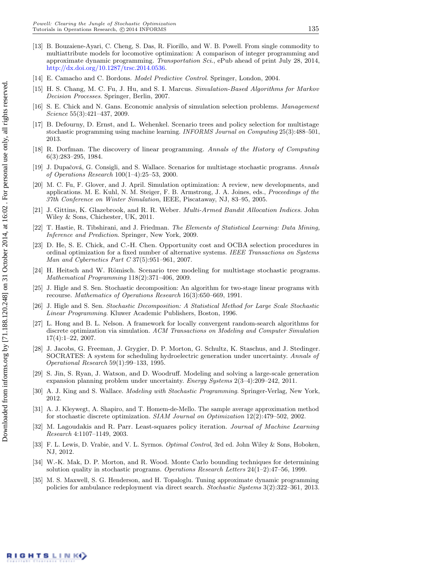- <span id="page-27-1"></span>[13] B. Bouzaiene-Ayari, C. Cheng, S. Das, R. Fiorillo, and W. B. Powell. From single commodity to multiattribute models for locomotive optimization: A comparison of integer programming and approximate dynamic programming. Transportation Sci., ePub ahead of print July 28, 2014, [http://dx.doi.org/10.1287/trsc.2014.0536.](http://dx.doi.org/10.1287/trsc.2014.0536)
- <span id="page-27-14"></span>[14] E. Camacho and C. Bordons. Model Predictive Control. Springer, London, 2004.
- <span id="page-27-7"></span>[15] H. S. Chang, M. C. Fu, J. Hu, and S. I. Marcus. Simulation-Based Algorithms for Markov Decision Processes. Springer, Berlin, 2007.
- <span id="page-27-9"></span>[16] S. E. Chick and N. Gans. Economic analysis of simulation selection problems. Management Science 55(3):421–437, 2009.
- <span id="page-27-4"></span>[17] B. Defourny, D. Ernst, and L. Wehenkel. Scenario trees and policy selection for multistage stochastic programming using machine learning. INFORMS Journal on Computing 25(3):488–501, 2013.
- <span id="page-27-0"></span>[18] R. Dorfman. The discovery of linear programming. Annals of the History of Computing 6(3):283–295, 1984.
- <span id="page-27-15"></span>[19] J. Dupačová, G. Consigli, and S. Wallace. Scenarios for multistage stochastic programs. Annals of Operations Research 100(1–4):25–53, 2000.
- <span id="page-27-11"></span>[20] M. C. Fu, F. Glover, and J. April. Simulation optimization: A review, new developments, and applications. M. E. Kuhl, N. M. Steiger, F. B. Armstrong, J. A. Joines, eds., Proceedings of the 37th Conference on Winter Simulation, IEEE, Piscataway, NJ, 83–95, 2005.
- <span id="page-27-3"></span>[21] J. Gittins, K. Glazebrook, and R. R. Weber. Multi-Armed Bandit Allocation Indices. John Wiley & Sons, Chichester, UK, 2011.
- <span id="page-27-5"></span>[22] T. Hastie, R. Tibshirani, and J. Friedman. The Elements of Statistical Learning: Data Mining, Inference and Prediction. Springer, New York, 2009.
- <span id="page-27-10"></span>[23] D. He, S. E. Chick, and C.-H. Chen. Opportunity cost and OCBA selection procedures in ordinal optimization for a fixed number of alternative systems. IEEE Transactions on Systems Man and Cybernetics Part C 37(5):951–961, 2007.
- <span id="page-27-6"></span>[24] H. Heitsch and W. Römisch. Scenario tree modeling for multistage stochastic programs. Mathematical Programming 118(2):371–406, 2009.
- <span id="page-27-18"></span>[25] J. Higle and S. Sen. Stochastic decomposition: An algorithm for two-stage linear programs with recourse. Mathematics of Operations Research 16(3):650–669, 1991.
- <span id="page-27-19"></span>[26] J. Higle and S. Sen. Stochastic Decomposition: A Statistical Method for Large Scale Stochastic Linear Programming. Kluwer Academic Publishers, Boston, 1996.
- <span id="page-27-12"></span>[27] L. Hong and B. L. Nelson. A framework for locally convergent random-search algorithms for discrete optimization via simulation. ACM Transactions on Modeling and Computer Simulation  $17(4):1-22, 2007.$
- <span id="page-27-16"></span>[28] J. Jacobs, G. Freeman, J. Grygier, D. P. Morton, G. Schultz, K. Staschus, and J. Stedinger. SOCRATES: A system for scheduling hydroelectric generation under uncertainty. Annals of Operational Research 59(1):99–133, 1995.
- <span id="page-27-17"></span>[29] S. Jin, S. Ryan, J. Watson, and D. Woodruff. Modeling and solving a large-scale generation expansion planning problem under uncertainty. Energy Systems 2(3–4):209–242, 2011.
- <span id="page-27-20"></span>[30] A. J. King and S. Wallace. *Modeling with Stochastic Programming*. Springer-Verlag, New York, 2012.
- <span id="page-27-8"></span>[31] A. J. Kleywegt, A. Shapiro, and T. Homem-de-Mello. The sample average approximation method for stochastic discrete optimization. SIAM Journal on Optimization 12(2):479–502, 2002.
- <span id="page-27-21"></span>[32] M. Lagoudakis and R. Parr. Least-squares policy iteration. Journal of Machine Learning Research 4:1107–1149, 2003.
- <span id="page-27-2"></span>[33] F. L. Lewis, D. Vrabie, and V. L. Syrmos. Optimal Control, 3rd ed. John Wiley & Sons, Hoboken, NJ, 2012.
- <span id="page-27-13"></span>[34] W.-K. Mak, D. P. Morton, and R. Wood. Monte Carlo bounding techniques for determining solution quality in stochastic programs. Operations Research Letters  $24(1-2):47-56$ , 1999.
- <span id="page-27-22"></span>[35] M. S. Maxwell, S. G. Henderson, and H. Topaloglu. Tuning approximate dynamic programming policies for ambulance redeployment via direct search. Stochastic Systems 3(2):322–361, 2013.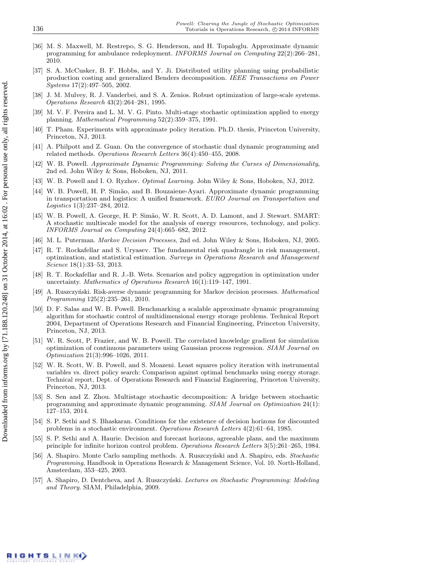- <span id="page-28-17"></span>[36] M. S. Maxwell, M. Restrepo, S. G. Henderson, and H. Topaloglu. Approximate dynamic programming for ambulance redeployment. INFORMS Journal on Computing 22(2):266–281, 2010.
- <span id="page-28-12"></span>[37] S. A. McCusker, B. F. Hobbs, and Y. Ji. Distributed utility planning using probabilistic production costing and generalized Benders decomposition. IEEE Transactions on Power Systems 17(2):497–505, 2002.
- <span id="page-28-13"></span>[38] J. M. Mulvey, R. J. Vanderbei, and S. A. Zenios. Robust optimization of large-scale systems. Operations Research 43(2):264–281, 1995.
- <span id="page-28-8"></span>[39] M. V. F. Pereira and L. M. V. G. Pinto. Multi-stage stochastic optimization applied to energy planning. Mathematical Programming 52(2):359–375, 1991.
- <span id="page-28-21"></span>[40] T. Pham. Experiments with approximate policy iteration. Ph.D. thesis, Princeton University, Princeton, NJ, 2013.
- <span id="page-28-11"></span>[41] A. Philpott and Z. Guan. On the convergence of stochastic dual dynamic programming and related methods. Operations Research Letters 36(4):450–455, 2008.
- <span id="page-28-3"></span>[42] W. B. Powell. Approximate Dynamic Programming: Solving the Curses of Dimensionality, 2nd ed. John Wiley & Sons, Hoboken, NJ, 2011.
- <span id="page-28-7"></span>[43] W. B. Powell and I. O. Ryzhov. Optimal Learning. John Wiley & Sons, Hoboken, NJ, 2012.
- <span id="page-28-0"></span>[44] W. B. Powell, H. P. Simão, and B. Bouzaiene-Ayari. Approximate dynamic programming in transportation and logistics: A unified framework. EURO Journal on Transportation and Logistics 1(3):237–284, 2012.
- <span id="page-28-1"></span>[45] W. B. Powell, A. George, H. P. Simão, W. R. Scott, A. D. Lamont, and J. Stewart. SMART: A stochastic multiscale model for the analysis of energy resources, technology, and policy. INFORMS Journal on Computing 24(4):665–682, 2012.
- <span id="page-28-2"></span>[46] M. L. Puterman. Markov Decision Processes, 2nd ed. John Wiley & Sons, Hoboken, NJ, 2005.
- <span id="page-28-6"></span>[47] R. T. Rockafellar and S. Uryasev. The fundamental risk quadrangle in risk management, optimization, and statistical estimation. Surveys in Operations Research and Management Science 18(1):33–53, 2013.
- <span id="page-28-10"></span>[48] R. T. Rockafellar and R. J.-B. Wets. Scenarios and policy aggregation in optimization under uncertainty. Mathematics of Operations Research 16(1):119–147, 1991.
- <span id="page-28-4"></span>[49] A. Ruszczyński. Risk-averse dynamic programming for Markov decision processes. *Mathematical* Programming 125(2):235–261, 2010.
- <span id="page-28-20"></span>[50] D. F. Salas and W. B. Powell. Benchmarking a scalable approximate dynamic programming algorithm for stochastic control of multidimensional energy storage problems. Technical Report 2004, Department of Operations Research and Financial Engineering, Princeton University, Princeton, NJ, 2013.
- <span id="page-28-19"></span>[51] W. R. Scott, P. Frazier, and W. B. Powell. The correlated knowledge gradient for simulation optimization of continuous parameters using Gaussian process regression. SIAM Journal on Optimization 21(3):996–1026, 2011.
- <span id="page-28-18"></span>[52] W. R. Scott, W. B. Powell, and S. Moazeni. Least squares policy iteration with instrumental variables vs. direct policy search: Comparison against optimal benchmarks using energy storage. Technical report, Dept. of Operations Research and Financial Engineering, Princeton University, Princeton, NJ, 2013.
- <span id="page-28-14"></span>[53] S. Sen and Z. Zhou. Multistage stochastic decomposition: A bridge between stochastic programming and approximate dynamic programming. SIAM Journal on Optimization 24(1): 127–153, 2014.
- <span id="page-28-15"></span>[54] S. P. Sethi and S. Bhaskaran. Conditions for the existence of decision horizons for discounted problems in a stochastic environment. Operations Research Letters 4(2):61–64, 1985.
- <span id="page-28-16"></span>[55] S. P. Sethi and A. Haurie. Decision and forecast horizons, agreeable plans, and the maximum principle for infinite horizon control problem. Operations Research Letters 3(5):261–265, 1984.
- <span id="page-28-9"></span>[56] A. Shapiro. Monte Carlo sampling methods. A. Ruszczyński and A. Shapiro, eds. Stochastic Programming, Handbook in Operations Research & Management Science, Vol. 10. North-Holland, Amsterdam, 353–425, 2003.
- <span id="page-28-5"></span>[57] A. Shapiro, D. Dentcheva, and A. Ruszczyński. Lectures on Stochastic Programming: Modeling and Theory. SIAM, Philadelphia, 2009.